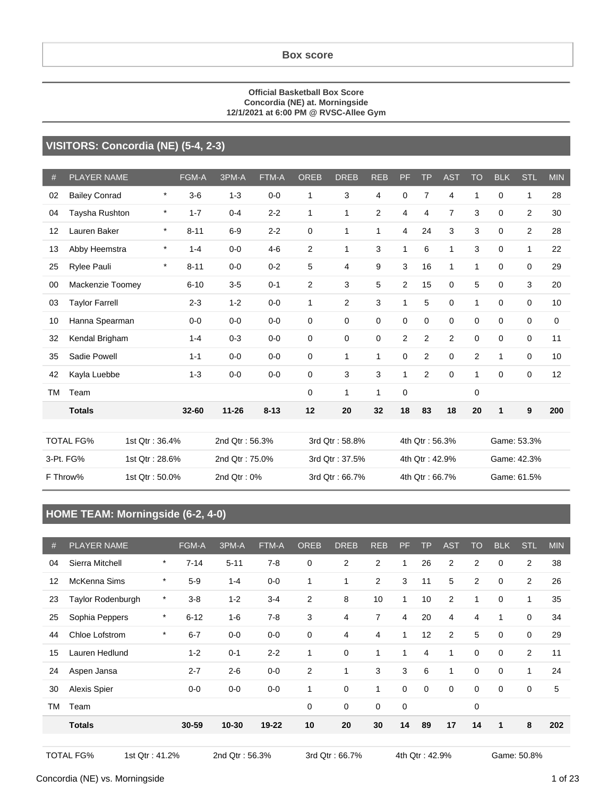#### **Official Basketball Box Score Concordia (NE) at. Morningside 12/1/2021 at 6:00 PM @ RVSC-Allee Gym**

#### **VISITORS: Concordia (NE) (5-4, 2-3)**

| #         | <b>PLAYER NAME</b>    |                | FGM-A    | 3PM-A          | FTM-A    | <b>OREB</b> | <b>DREB</b>    | <b>REB</b>     | <b>PF</b>      | <b>TP</b>      | <b>AST</b>     | <b>TO</b>      | <b>BLK</b>  | <b>STL</b>  | <b>MIN</b> |
|-----------|-----------------------|----------------|----------|----------------|----------|-------------|----------------|----------------|----------------|----------------|----------------|----------------|-------------|-------------|------------|
| 02        | <b>Bailey Conrad</b>  | $\star$        | $3-6$    | $1 - 3$        | $0-0$    | 1           | 3              | 4              | $\mathbf 0$    | $\overline{7}$ | 4              | 1              | 0           | 1           | 28         |
| 04        | Taysha Rushton        | $\star$        | $1 - 7$  | $0 - 4$        | $2 - 2$  | $\mathbf 1$ | 1              | $\overline{2}$ | 4              | 4              | $\overline{7}$ | 3              | $\mathbf 0$ | 2           | 30         |
| 12        | Lauren Baker          | $\star$        | $8 - 11$ | $6-9$          | $2 - 2$  | $\mathbf 0$ | 1              | 1              | 4              | 24             | 3              | 3              | 0           | 2           | 28         |
| 13        | Abby Heemstra         | $\star$        | $1 - 4$  | $0-0$          | $4-6$    | 2           | 1              | 3              | $\mathbf{1}$   | 6              | $\mathbf 1$    | 3              | $\Omega$    | 1           | 22         |
| 25        | Rylee Pauli           | $\star$        | $8 - 11$ | $0 - 0$        | $0 - 2$  | 5           | 4              | 9              | 3              | 16             | $\mathbf 1$    | 1              | $\Omega$    | $\Omega$    | 29         |
| 00        | Mackenzie Toomey      |                | $6 - 10$ | $3-5$          | $0 - 1$  | 2           | 3              | 5              | $\overline{2}$ | 15             | $\mathbf 0$    | 5              | $\mathbf 0$ | 3           | 20         |
| 03        | <b>Taylor Farrell</b> |                | $2 - 3$  | $1 - 2$        | $0 - 0$  | 1           | $\overline{2}$ | 3              | $\mathbf{1}$   | 5              | $\mathbf 0$    | 1              | $\mathbf 0$ | 0           | 10         |
| 10        | Hanna Spearman        |                | $0 - 0$  | $0-0$          | $0 - 0$  | 0           | 0              | 0              | 0              | 0              | $\mathbf 0$    | 0              | $\mathbf 0$ | 0           | 0          |
| 32        | Kendal Brigham        |                | $1 - 4$  | $0 - 3$        | $0 - 0$  | $\mathbf 0$ | 0              | $\mathbf 0$    | 2              | $\overline{2}$ | 2              | $\mathbf 0$    | $\mathbf 0$ | 0           | 11         |
| 35        | Sadie Powell          |                | $1 - 1$  | $0-0$          | $0 - 0$  | $\mathbf 0$ | 1              | 1              | 0              | $\overline{2}$ | $\mathbf 0$    | $\overline{2}$ | 1           | 0           | 10         |
| 42        | Kayla Luebbe          |                | $1 - 3$  | $0-0$          | $0 - 0$  | $\mathbf 0$ | 3              | 3              | $\mathbf{1}$   | 2              | 0              | 1              | 0           | 0           | 12         |
| <b>TM</b> | Team                  |                |          |                |          | $\mathbf 0$ | 1              | 1              | $\mathbf 0$    |                |                | $\mathbf 0$    |             |             |            |
|           | <b>Totals</b>         |                | 32-60    | $11 - 26$      | $8 - 13$ | 12          | 20             | 32             | 18             | 83             | 18             | 20             | 1           | 9           | 200        |
|           |                       |                |          |                |          |             |                |                |                |                |                |                |             |             |            |
|           | <b>TOTAL FG%</b>      | 1st Qtr: 36.4% |          | 2nd Qtr: 56.3% |          |             | 3rd Qtr: 58.8% |                |                | 4th Qtr: 56.3% |                |                |             | Game: 53.3% |            |
|           | 3-Pt. FG%             | 1st Qtr: 28.6% |          | 2nd Qtr: 75.0% |          |             | 3rd Qtr: 37.5% |                |                | 4th Qtr: 42.9% |                |                |             | Game: 42.3% |            |
|           | F Throw%              | 1st Qtr: 50.0% |          | 2nd Qtr: 0%    |          |             | 3rd Qtr: 66.7% |                |                | 4th Qtr: 66.7% |                |                |             | Game: 61.5% |            |

### **HOME TEAM: Morningside (6-2, 4-0)**

| #  | <b>PLAYER NAME</b>  |         | FGM-A    | 3PM-A     | FTM-A   | <b>OREB</b>    | <b>DREB</b>    | <b>REB</b>     | PF           | <b>TP</b> | <b>AST</b>     | <b>TO</b>   | <b>BLK</b>  | STL            | <b>MIN</b> |
|----|---------------------|---------|----------|-----------|---------|----------------|----------------|----------------|--------------|-----------|----------------|-------------|-------------|----------------|------------|
| 04 | Sierra Mitchell     | $\star$ | $7 - 14$ | $5 - 11$  | $7 - 8$ | $\mathbf 0$    | 2              | 2              | $\mathbf{1}$ | 26        | $\overline{2}$ | 2           | $\mathbf 0$ | $\overline{2}$ | 38         |
| 12 | McKenna Sims        | $\ast$  | $5-9$    | $1 - 4$   | $0-0$   | 1              | $\mathbf{1}$   | $\overline{2}$ | 3            | 11        | 5              | 2           | 0           | $\overline{2}$ | 26         |
| 23 | Taylor Rodenburgh   | $\star$ | $3 - 8$  | $1 - 2$   | $3 - 4$ | $\overline{2}$ | 8              | 10             | 1            | 10        | $\overline{2}$ | 1           | $\mathbf 0$ | 1              | 35         |
| 25 | Sophia Peppers      | $\ast$  | $6 - 12$ | $1 - 6$   | $7 - 8$ | 3              | $\overline{4}$ | 7              | 4            | 20        | $\overline{4}$ | 4           | 1           | $\mathbf 0$    | 34         |
| 44 | Chloe Lofstrom      | $\star$ | $6 - 7$  | $0 - 0$   | $0-0$   | 0              | 4              | $\overline{4}$ | 1            | 12        | 2              | 5           | 0           | 0              | 29         |
| 15 | Lauren Hedlund      |         | $1 - 2$  | $0 - 1$   | $2 - 2$ | 1              | $\mathbf 0$    | 1              | 1            | 4         | 1              | $\mathbf 0$ | $\mathbf 0$ | $\overline{2}$ | 11         |
| 24 | Aspen Jansa         |         | $2 - 7$  | $2 - 6$   | $0-0$   | $\overline{2}$ | 1              | 3              | 3            | 6         | 1              | $\mathbf 0$ | $\mathbf 0$ | 1              | 24         |
| 30 | <b>Alexis Spier</b> |         | $0-0$    | $0-0$     | $0-0$   | 1              | $\mathbf 0$    | 1              | $\mathbf 0$  | 0         | 0              | $\mathbf 0$ | 0           | 0              | 5          |
| ТM | Team                |         |          |           |         | $\mathbf 0$    | $\mathbf 0$    | $\mathbf 0$    | $\mathbf 0$  |           |                | $\mathbf 0$ |             |                |            |
|    | <b>Totals</b>       |         | 30-59    | $10 - 30$ | 19-22   | 10             | 20             | 30             | 14           | 89        | 17             | 14          | 1           | 8              | 202        |
|    |                     |         |          |           |         |                |                |                |              |           |                |             |             |                |            |

TOTAL FG% 1st Qtr : 41.2% 2nd Qtr : 56.3% 3rd Qtr : 66.7% 4th Qtr : 42.9% Game: 50.8%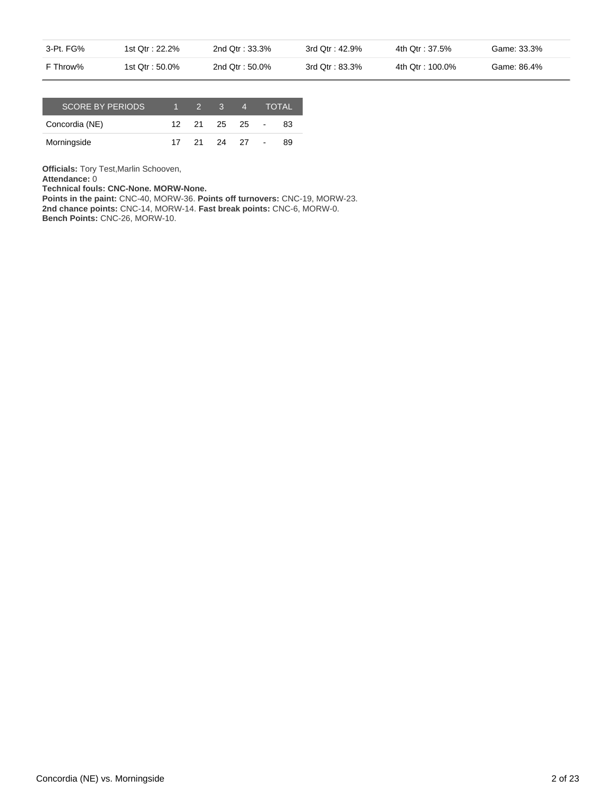| 3-Pt. FG% | 1st Qtr: 22.2%  | 2nd Otr: 33.3%  | 3rd Qtr: 42.9% | 4th Otr : 37.5%  | Game: 33.3% |
|-----------|-----------------|-----------------|----------------|------------------|-------------|
| F Throw%  | 1st Qtr : 50.0% | 2nd Qtr : 50.0% | 3rd Qtr: 83.3% | 4th Qtr : 100.0% | Game: 86.4% |

| <b>SCORE BY PERIODS</b> |  | $2 \quad 3$   | Z., |        | <b>TOTAL</b> |
|-------------------------|--|---------------|-----|--------|--------------|
| Concordia (NE)          |  | 12 21 25 25 - |     |        | 83           |
| Morningside             |  | 21 24 27      |     | $\sim$ | 89           |

**Officials:** Tory Test,Marlin Schooven,

**Attendance:** 0

**Technical fouls: CNC-None. MORW-None.**

**Points in the paint:** CNC-40, MORW-36. **Points off turnovers:** CNC-19, MORW-23. **2nd chance points:** CNC-14, MORW-14. **Fast break points:** CNC-6, MORW-0. **Bench Points:** CNC-26, MORW-10.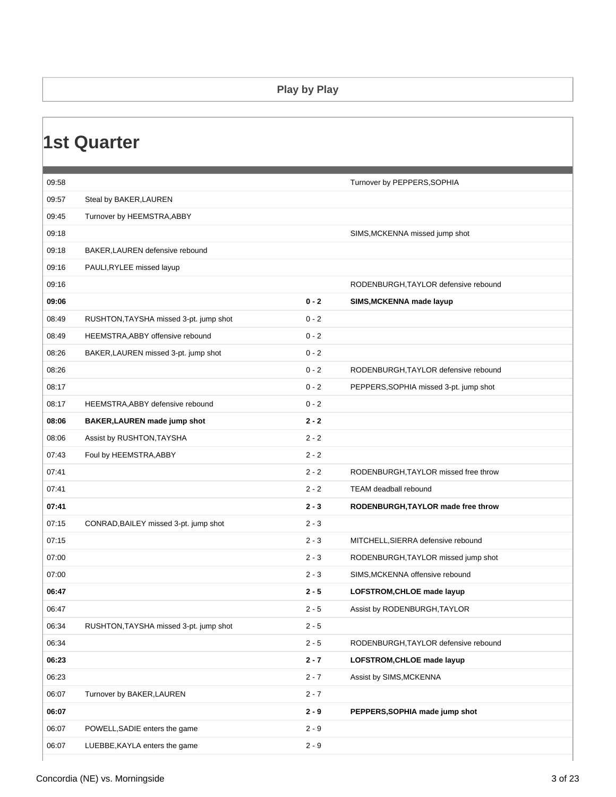#### **Play by Play**

| 09:58 |                                        |         | Turnover by PEPPERS, SOPHIA            |
|-------|----------------------------------------|---------|----------------------------------------|
| 09:57 | Steal by BAKER, LAUREN                 |         |                                        |
| 09:45 | Turnover by HEEMSTRA, ABBY             |         |                                        |
| 09:18 |                                        |         | SIMS, MCKENNA missed jump shot         |
| 09:18 | BAKER, LAUREN defensive rebound        |         |                                        |
| 09:16 | PAULI, RYLEE missed layup              |         |                                        |
| 09:16 |                                        |         | RODENBURGH, TAYLOR defensive rebound   |
| 09:06 |                                        | $0 - 2$ | SIMS, MCKENNA made layup               |
| 08:49 | RUSHTON, TAYSHA missed 3-pt. jump shot | $0 - 2$ |                                        |
| 08:49 | HEEMSTRA, ABBY offensive rebound       | $0 - 2$ |                                        |
| 08:26 | BAKER, LAUREN missed 3-pt. jump shot   | $0 - 2$ |                                        |
| 08:26 |                                        | $0 - 2$ | RODENBURGH, TAYLOR defensive rebound   |
| 08:17 |                                        | $0 - 2$ | PEPPERS, SOPHIA missed 3-pt. jump shot |
| 08:17 | HEEMSTRA, ABBY defensive rebound       | $0 - 2$ |                                        |
| 08:06 | BAKER, LAUREN made jump shot           | $2 - 2$ |                                        |
| 08:06 | Assist by RUSHTON, TAYSHA              | $2 - 2$ |                                        |
| 07:43 | Foul by HEEMSTRA, ABBY                 | $2 - 2$ |                                        |
| 07:41 |                                        | $2 - 2$ | RODENBURGH, TAYLOR missed free throw   |
| 07:41 |                                        | $2 - 2$ | <b>TEAM</b> deadball rebound           |
| 07:41 |                                        | $2 - 3$ | RODENBURGH, TAYLOR made free throw     |
| 07:15 | CONRAD, BAILEY missed 3-pt. jump shot  | $2 - 3$ |                                        |
| 07:15 |                                        | $2 - 3$ | MITCHELL, SIERRA defensive rebound     |
| 07:00 |                                        | $2 - 3$ | RODENBURGH, TAYLOR missed jump shot    |
| 07:00 |                                        | $2 - 3$ | SIMS, MCKENNA offensive rebound        |
| 06:47 |                                        | $2 - 5$ | LOFSTROM, CHLOE made layup             |
| 06:47 |                                        | $2 - 5$ | Assist by RODENBURGH, TAYLOR           |
| 06:34 | RUSHTON, TAYSHA missed 3-pt. jump shot | $2 - 5$ |                                        |
| 06:34 |                                        | $2 - 5$ | RODENBURGH, TAYLOR defensive rebound   |
| 06:23 |                                        | $2 - 7$ | LOFSTROM, CHLOE made layup             |
| 06:23 |                                        | $2 - 7$ | Assist by SIMS, MCKENNA                |
| 06:07 | Turnover by BAKER, LAUREN              | $2 - 7$ |                                        |
| 06:07 |                                        | $2 - 9$ | PEPPERS, SOPHIA made jump shot         |
| 06:07 | POWELL, SADIE enters the game          | $2 - 9$ |                                        |
| 06:07 | LUEBBE, KAYLA enters the game          | $2 - 9$ |                                        |
|       |                                        |         |                                        |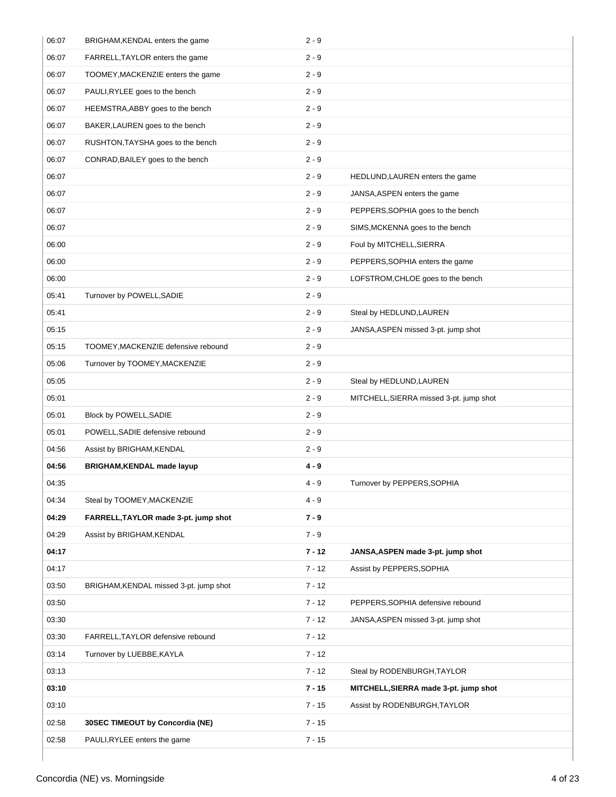| 06:07 | BRIGHAM, KENDAL enters the game        | $2 - 9$  |                                         |
|-------|----------------------------------------|----------|-----------------------------------------|
| 06:07 | FARRELL, TAYLOR enters the game        | $2 - 9$  |                                         |
| 06:07 | TOOMEY, MACKENZIE enters the game      | $2 - 9$  |                                         |
| 06:07 | PAULI, RYLEE goes to the bench         | $2 - 9$  |                                         |
| 06:07 | HEEMSTRA, ABBY goes to the bench       | $2 - 9$  |                                         |
| 06:07 | BAKER, LAUREN goes to the bench        | $2 - 9$  |                                         |
| 06:07 | RUSHTON, TAYSHA goes to the bench      | $2 - 9$  |                                         |
| 06:07 | CONRAD, BAILEY goes to the bench       | $2 - 9$  |                                         |
| 06:07 |                                        | $2 - 9$  | HEDLUND, LAUREN enters the game         |
| 06:07 |                                        | $2 - 9$  | JANSA, ASPEN enters the game            |
| 06:07 |                                        | $2 - 9$  | PEPPERS, SOPHIA goes to the bench       |
| 06:07 |                                        | $2 - 9$  | SIMS, MCKENNA goes to the bench         |
| 06:00 |                                        | $2 - 9$  | Foul by MITCHELL, SIERRA                |
| 06:00 |                                        | $2 - 9$  | PEPPERS, SOPHIA enters the game         |
| 06:00 |                                        | $2 - 9$  | LOFSTROM, CHLOE goes to the bench       |
| 05:41 | Turnover by POWELL, SADIE              | $2 - 9$  |                                         |
| 05:41 |                                        | $2 - 9$  | Steal by HEDLUND, LAUREN                |
| 05:15 |                                        | $2 - 9$  | JANSA, ASPEN missed 3-pt. jump shot     |
| 05:15 | TOOMEY, MACKENZIE defensive rebound    | $2 - 9$  |                                         |
| 05:06 | Turnover by TOOMEY, MACKENZIE          | $2 - 9$  |                                         |
| 05:05 |                                        | $2 - 9$  | Steal by HEDLUND, LAUREN                |
| 05:01 |                                        | $2 - 9$  | MITCHELL, SIERRA missed 3-pt. jump shot |
|       |                                        |          |                                         |
| 05:01 | Block by POWELL, SADIE                 | $2 - 9$  |                                         |
| 05:01 | POWELL, SADIE defensive rebound        | $2 - 9$  |                                         |
| 04:56 | Assist by BRIGHAM, KENDAL              | $2 - 9$  |                                         |
| 04:56 | BRIGHAM, KENDAL made layup             | $4 - 9$  |                                         |
| 04:35 |                                        | $4 - 9$  | Turnover by PEPPERS, SOPHIA             |
| 04:34 | Steal by TOOMEY, MACKENZIE             | $4 - 9$  |                                         |
| 04:29 | FARRELL, TAYLOR made 3-pt. jump shot   | $7 - 9$  |                                         |
| 04:29 | Assist by BRIGHAM, KENDAL              | $7 - 9$  |                                         |
| 04:17 |                                        | $7 - 12$ | JANSA, ASPEN made 3-pt. jump shot       |
| 04:17 |                                        | $7 - 12$ | Assist by PEPPERS, SOPHIA               |
| 03:50 | BRIGHAM, KENDAL missed 3-pt. jump shot | $7 - 12$ |                                         |
| 03:50 |                                        | $7 - 12$ | PEPPERS, SOPHIA defensive rebound       |
| 03:30 |                                        | $7 - 12$ | JANSA, ASPEN missed 3-pt. jump shot     |
| 03:30 | FARRELL, TAYLOR defensive rebound      | $7 - 12$ |                                         |
| 03:14 | Turnover by LUEBBE, KAYLA              | $7 - 12$ |                                         |
| 03:13 |                                        | $7 - 12$ | Steal by RODENBURGH, TAYLOR             |
| 03:10 |                                        | $7 - 15$ | MITCHELL, SIERRA made 3-pt. jump shot   |
| 03:10 |                                        | $7 - 15$ | Assist by RODENBURGH, TAYLOR            |
| 02:58 | 30SEC TIMEOUT by Concordia (NE)        | $7 - 15$ |                                         |
| 02:58 | PAULI, RYLEE enters the game           | $7 - 15$ |                                         |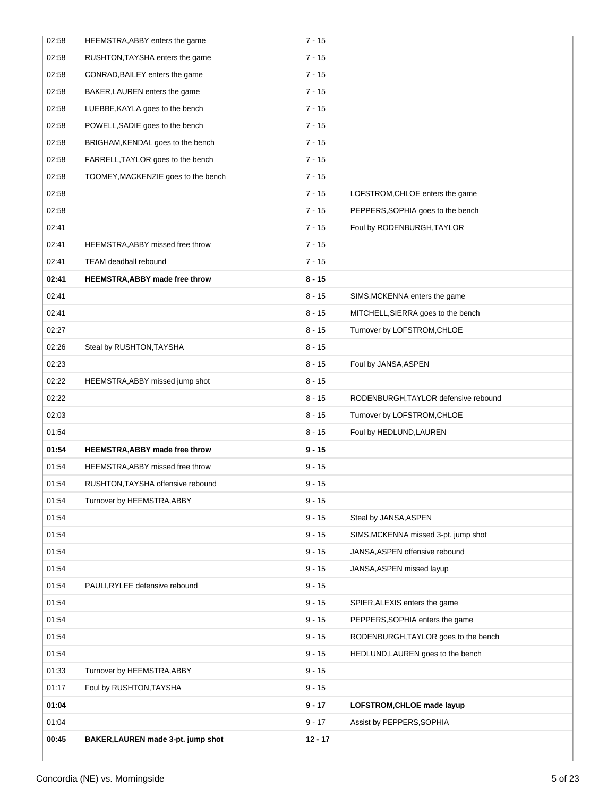| 02:58 | HEEMSTRA, ABBY enters the game        | $7 - 15$  |                                      |
|-------|---------------------------------------|-----------|--------------------------------------|
| 02:58 | RUSHTON, TAYSHA enters the game       | $7 - 15$  |                                      |
| 02:58 | CONRAD, BAILEY enters the game        | $7 - 15$  |                                      |
| 02:58 | BAKER, LAUREN enters the game         | $7 - 15$  |                                      |
| 02:58 | LUEBBE, KAYLA goes to the bench       | $7 - 15$  |                                      |
| 02:58 | POWELL, SADIE goes to the bench       | $7 - 15$  |                                      |
| 02:58 | BRIGHAM, KENDAL goes to the bench     | $7 - 15$  |                                      |
| 02:58 | FARRELL, TAYLOR goes to the bench     | $7 - 15$  |                                      |
| 02:58 | TOOMEY, MACKENZIE goes to the bench   | $7 - 15$  |                                      |
| 02:58 |                                       | $7 - 15$  | LOFSTROM, CHLOE enters the game      |
| 02:58 |                                       | $7 - 15$  | PEPPERS, SOPHIA goes to the bench    |
| 02:41 |                                       | $7 - 15$  | Foul by RODENBURGH, TAYLOR           |
| 02:41 | HEEMSTRA, ABBY missed free throw      | $7 - 15$  |                                      |
| 02:41 | TEAM deadball rebound                 | $7 - 15$  |                                      |
| 02:41 | <b>HEEMSTRA, ABBY made free throw</b> | $8 - 15$  |                                      |
| 02:41 |                                       | $8 - 15$  | SIMS, MCKENNA enters the game        |
| 02:41 |                                       | $8 - 15$  | MITCHELL, SIERRA goes to the bench   |
| 02:27 |                                       | $8 - 15$  | Turnover by LOFSTROM, CHLOE          |
| 02:26 | Steal by RUSHTON, TAYSHA              | $8 - 15$  |                                      |
| 02:23 |                                       | $8 - 15$  | Foul by JANSA, ASPEN                 |
| 02:22 | HEEMSTRA, ABBY missed jump shot       | $8 - 15$  |                                      |
| 02:22 |                                       | $8 - 15$  | RODENBURGH, TAYLOR defensive rebound |
| 02:03 |                                       | $8 - 15$  | Turnover by LOFSTROM, CHLOE          |
| 01:54 |                                       | $8 - 15$  | Foul by HEDLUND, LAUREN              |
| 01:54 | <b>HEEMSTRA, ABBY made free throw</b> | $9 - 15$  |                                      |
| 01:54 | HEEMSTRA, ABBY missed free throw      | $9 - 15$  |                                      |
| 01:54 | RUSHTON, TAYSHA offensive rebound     | $9 - 15$  |                                      |
| 01:54 | Turnover by HEEMSTRA, ABBY            | $9 - 15$  |                                      |
| 01:54 |                                       | $9 - 15$  | Steal by JANSA, ASPEN                |
| 01:54 |                                       | $9 - 15$  | SIMS, MCKENNA missed 3-pt. jump shot |
| 01:54 |                                       | $9 - 15$  | JANSA, ASPEN offensive rebound       |
| 01:54 |                                       | $9 - 15$  | JANSA, ASPEN missed layup            |
| 01:54 | PAULI, RYLEE defensive rebound        | $9 - 15$  |                                      |
| 01:54 |                                       | $9 - 15$  | SPIER, ALEXIS enters the game        |
| 01:54 |                                       | $9 - 15$  | PEPPERS, SOPHIA enters the game      |
| 01:54 |                                       | $9 - 15$  | RODENBURGH, TAYLOR goes to the bench |
| 01:54 |                                       | $9 - 15$  | HEDLUND, LAUREN goes to the bench    |
| 01:33 | Turnover by HEEMSTRA, ABBY            | $9 - 15$  |                                      |
| 01:17 | Foul by RUSHTON, TAYSHA               | $9 - 15$  |                                      |
| 01:04 |                                       | $9 - 17$  | LOFSTROM, CHLOE made layup           |
| 01:04 |                                       | $9 - 17$  | Assist by PEPPERS, SOPHIA            |
| 00:45 | BAKER, LAUREN made 3-pt. jump shot    | $12 - 17$ |                                      |
|       |                                       |           |                                      |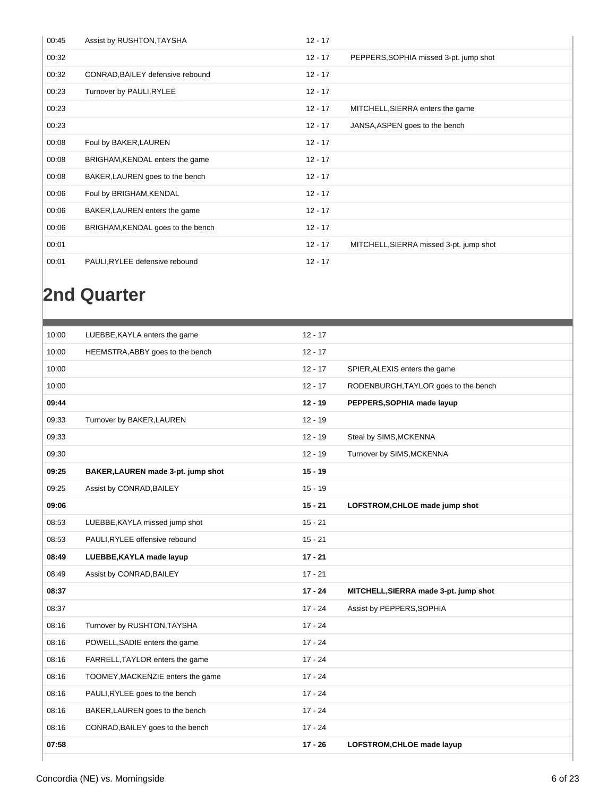| 00:45 | Assist by RUSHTON, TAYSHA         | $12 - 17$ |                                         |
|-------|-----------------------------------|-----------|-----------------------------------------|
| 00:32 |                                   | $12 - 17$ | PEPPERS, SOPHIA missed 3-pt. jump shot  |
| 00:32 | CONRAD, BAILEY defensive rebound  | $12 - 17$ |                                         |
| 00:23 | Turnover by PAULI, RYLEE          | $12 - 17$ |                                         |
| 00:23 |                                   | $12 - 17$ | MITCHELL, SIERRA enters the game        |
| 00:23 |                                   | $12 - 17$ | JANSA, ASPEN goes to the bench          |
| 00:08 | Foul by BAKER, LAUREN             | $12 - 17$ |                                         |
| 00:08 | BRIGHAM, KENDAL enters the game   | $12 - 17$ |                                         |
| 00:08 | BAKER, LAUREN goes to the bench   | $12 - 17$ |                                         |
| 00:06 | Foul by BRIGHAM, KENDAL           | $12 - 17$ |                                         |
| 00:06 | BAKER, LAUREN enters the game     | $12 - 17$ |                                         |
| 00:06 | BRIGHAM, KENDAL goes to the bench | $12 - 17$ |                                         |
| 00:01 |                                   | $12 - 17$ | MITCHELL, SIERRA missed 3-pt. jump shot |
| 00:01 | PAULI, RYLEE defensive rebound    | $12 - 17$ |                                         |

### **2nd Quarter**

| 10:00 | LUEBBE, KAYLA enters the game      | $12 - 17$ |                                       |
|-------|------------------------------------|-----------|---------------------------------------|
| 10:00 | HEEMSTRA, ABBY goes to the bench   | $12 - 17$ |                                       |
| 10:00 |                                    | $12 - 17$ | SPIER, ALEXIS enters the game         |
| 10:00 |                                    | $12 - 17$ | RODENBURGH, TAYLOR goes to the bench  |
| 09:44 |                                    | $12 - 19$ | PEPPERS, SOPHIA made layup            |
| 09:33 | Turnover by BAKER, LAUREN          | $12 - 19$ |                                       |
| 09:33 |                                    | $12 - 19$ | Steal by SIMS, MCKENNA                |
| 09:30 |                                    | $12 - 19$ | Turnover by SIMS, MCKENNA             |
| 09:25 | BAKER, LAUREN made 3-pt. jump shot | $15 - 19$ |                                       |
| 09:25 | Assist by CONRAD, BAILEY           | $15 - 19$ |                                       |
| 09:06 |                                    | $15 - 21$ | LOFSTROM, CHLOE made jump shot        |
| 08:53 | LUEBBE, KAYLA missed jump shot     | $15 - 21$ |                                       |
| 08:53 | PAULI, RYLEE offensive rebound     | $15 - 21$ |                                       |
| 08:49 | LUEBBE, KAYLA made layup           | $17 - 21$ |                                       |
| 08:49 | Assist by CONRAD, BAILEY           | $17 - 21$ |                                       |
| 08:37 |                                    | $17 - 24$ | MITCHELL, SIERRA made 3-pt. jump shot |
| 08:37 |                                    | $17 - 24$ | Assist by PEPPERS, SOPHIA             |
| 08:16 | Turnover by RUSHTON, TAYSHA        | $17 - 24$ |                                       |
| 08:16 | POWELL, SADIE enters the game      | $17 - 24$ |                                       |
| 08:16 | FARRELL, TAYLOR enters the game    | $17 - 24$ |                                       |
| 08:16 | TOOMEY, MACKENZIE enters the game  | $17 - 24$ |                                       |
| 08:16 | PAULI, RYLEE goes to the bench     | $17 - 24$ |                                       |
| 08:16 | BAKER, LAUREN goes to the bench    | $17 - 24$ |                                       |
| 08:16 | CONRAD, BAILEY goes to the bench   | $17 - 24$ |                                       |
| 07:58 |                                    | $17 - 26$ | LOFSTROM, CHLOE made layup            |
|       |                                    |           |                                       |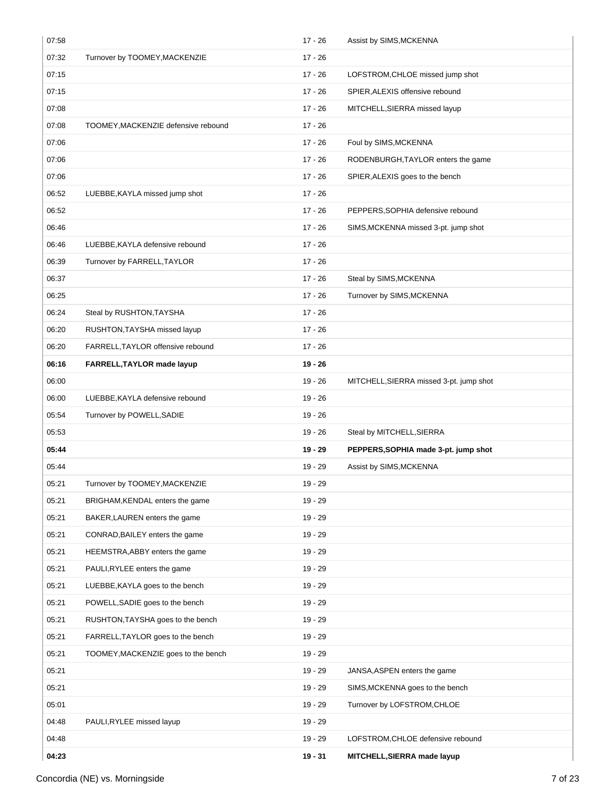| 07:58 |                                     | $17 - 26$ | Assist by SIMS, MCKENNA                 |
|-------|-------------------------------------|-----------|-----------------------------------------|
| 07:32 | Turnover by TOOMEY, MACKENZIE       | $17 - 26$ |                                         |
| 07:15 |                                     | $17 - 26$ | LOFSTROM, CHLOE missed jump shot        |
| 07:15 |                                     | $17 - 26$ | SPIER, ALEXIS offensive rebound         |
| 07:08 |                                     | $17 - 26$ | MITCHELL, SIERRA missed layup           |
| 07:08 | TOOMEY, MACKENZIE defensive rebound | $17 - 26$ |                                         |
| 07:06 |                                     | $17 - 26$ | Foul by SIMS, MCKENNA                   |
| 07:06 |                                     | $17 - 26$ | RODENBURGH, TAYLOR enters the game      |
| 07:06 |                                     | $17 - 26$ | SPIER, ALEXIS goes to the bench         |
| 06:52 | LUEBBE, KAYLA missed jump shot      | $17 - 26$ |                                         |
| 06:52 |                                     | $17 - 26$ | PEPPERS, SOPHIA defensive rebound       |
| 06:46 |                                     | $17 - 26$ | SIMS, MCKENNA missed 3-pt. jump shot    |
| 06:46 | LUEBBE, KAYLA defensive rebound     | $17 - 26$ |                                         |
| 06:39 | Turnover by FARRELL, TAYLOR         | $17 - 26$ |                                         |
| 06:37 |                                     | $17 - 26$ | Steal by SIMS, MCKENNA                  |
| 06:25 |                                     | $17 - 26$ | Turnover by SIMS, MCKENNA               |
| 06:24 | Steal by RUSHTON, TAYSHA            | $17 - 26$ |                                         |
| 06:20 | RUSHTON, TAYSHA missed layup        | $17 - 26$ |                                         |
| 06:20 | FARRELL, TAYLOR offensive rebound   | $17 - 26$ |                                         |
| 06:16 | FARRELL, TAYLOR made layup          | $19 - 26$ |                                         |
| 06:00 |                                     | $19 - 26$ | MITCHELL, SIERRA missed 3-pt. jump shot |
| 06:00 | LUEBBE, KAYLA defensive rebound     | $19 - 26$ |                                         |
| 05:54 | Turnover by POWELL, SADIE           | $19 - 26$ |                                         |
| 05:53 |                                     | $19 - 26$ | Steal by MITCHELL, SIERRA               |
| 05:44 |                                     | $19 - 29$ | PEPPERS, SOPHIA made 3-pt. jump shot    |
| 05:44 |                                     | $19 - 29$ | Assist by SIMS, MCKENNA                 |
| 05:21 | Turnover by TOOMEY, MACKENZIE       | $19 - 29$ |                                         |
| 05:21 | BRIGHAM, KENDAL enters the game     | 19 - 29   |                                         |
| 05:21 | BAKER, LAUREN enters the game       | 19 - 29   |                                         |
| 05:21 | CONRAD, BAILEY enters the game      | $19 - 29$ |                                         |
| 05:21 | HEEMSTRA, ABBY enters the game      | $19 - 29$ |                                         |
| 05:21 | PAULI, RYLEE enters the game        | 19 - 29   |                                         |
| 05:21 | LUEBBE, KAYLA goes to the bench     | 19 - 29   |                                         |
| 05:21 | POWELL, SADIE goes to the bench     | $19 - 29$ |                                         |
| 05:21 | RUSHTON, TAYSHA goes to the bench   | $19 - 29$ |                                         |
| 05:21 | FARRELL, TAYLOR goes to the bench   | 19 - 29   |                                         |
| 05:21 | TOOMEY, MACKENZIE goes to the bench | $19 - 29$ |                                         |
| 05:21 |                                     | $19 - 29$ | JANSA, ASPEN enters the game            |
| 05:21 |                                     | 19 - 29   | SIMS, MCKENNA goes to the bench         |
| 05:01 |                                     | 19 - 29   | Turnover by LOFSTROM, CHLOE             |
| 04:48 | PAULI, RYLEE missed layup           | 19 - 29   |                                         |
| 04:48 |                                     | $19 - 29$ | LOFSTROM, CHLOE defensive rebound       |
|       |                                     | $19 - 31$ | MITCHELL, SIERRA made layup             |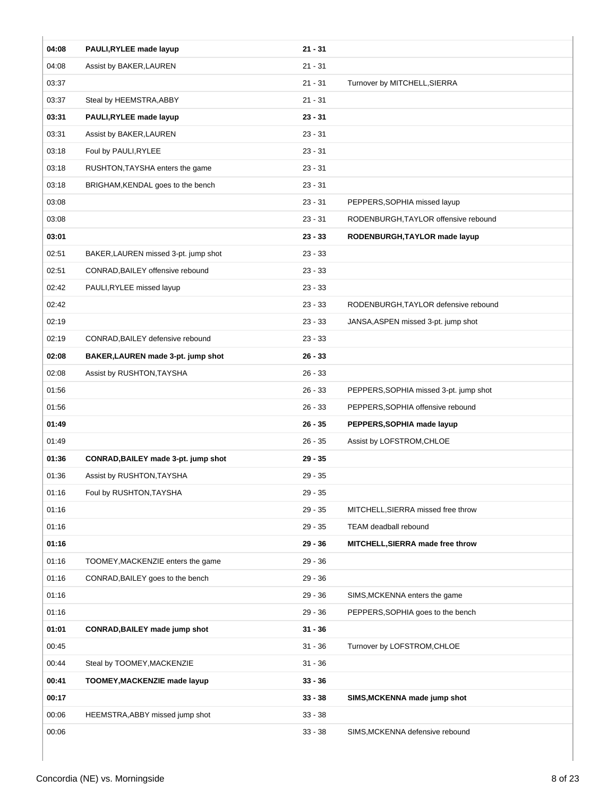| $21 - 31$<br>04:08<br>PAULI, RYLEE made layup<br>04:08<br>$21 - 31$<br>Assist by BAKER, LAUREN<br>03:37<br>$21 - 31$<br>Turnover by MITCHELL, SIERRA<br>03:37<br>$21 - 31$<br>Steal by HEEMSTRA, ABBY<br>03:31<br>$23 - 31$<br>PAULI, RYLEE made layup<br>$23 - 31$<br>03:31<br>Assist by BAKER, LAUREN<br>03:18<br>$23 - 31$<br>Foul by PAULI, RYLEE<br>03:18<br>$23 - 31$<br>RUSHTON, TAYSHA enters the game<br>$23 - 31$<br>03:18<br>BRIGHAM, KENDAL goes to the bench<br>03:08<br>$23 - 31$<br>PEPPERS, SOPHIA missed layup<br>03:08<br>$23 - 31$<br>RODENBURGH, TAYLOR offensive rebound<br>03:01<br>$23 - 33$<br>RODENBURGH, TAYLOR made layup<br>$23 - 33$<br>02:51<br>BAKER, LAUREN missed 3-pt. jump shot<br>02:51<br>$23 - 33$<br>CONRAD, BAILEY offensive rebound<br>02:42<br>$23 - 33$<br>PAULI, RYLEE missed layup<br>$23 - 33$<br>02:42<br>RODENBURGH, TAYLOR defensive rebound<br>02:19<br>$23 - 33$<br>JANSA, ASPEN missed 3-pt. jump shot<br>02:19<br>CONRAD, BAILEY defensive rebound<br>$23 - 33$<br>02:08<br>$26 - 33$<br>BAKER, LAUREN made 3-pt. jump shot<br>02:08<br>$26 - 33$<br>Assist by RUSHTON, TAYSHA<br>01:56<br>$26 - 33$<br>PEPPERS, SOPHIA missed 3-pt. jump shot<br>01:56<br>$26 - 33$<br>PEPPERS, SOPHIA offensive rebound<br>01:49<br>$26 - 35$<br>PEPPERS, SOPHIA made layup<br>01:49<br>$26 - 35$<br>Assist by LOFSTROM, CHLOE<br>01:36<br>$29 - 35$<br>CONRAD, BAILEY made 3-pt. jump shot<br>01:36<br>Assist by RUSHTON, TAYSHA<br>$29 - 35$<br>01:16<br>$29 - 35$<br>Foul by RUSHTON, TAYSHA<br>01:16<br>$29 - 35$<br>MITCHELL, SIERRA missed free throw<br>01:16<br>$29 - 35$<br>TEAM deadball rebound<br>01:16<br>$29 - 36$<br>MITCHELL, SIERRA made free throw<br>01:16<br>TOOMEY, MACKENZIE enters the game<br>$29 - 36$<br>$29 - 36$<br>01:16<br>CONRAD, BAILEY goes to the bench<br>01:16<br>$29 - 36$<br>SIMS, MCKENNA enters the game<br>01:16<br>$29 - 36$<br>PEPPERS, SOPHIA goes to the bench<br>01:01<br><b>CONRAD, BAILEY made jump shot</b><br>$31 - 36$<br>00:45<br>$31 - 36$<br>Turnover by LOFSTROM, CHLOE<br>00:44<br>$31 - 36$<br>Steal by TOOMEY, MACKENZIE<br>00:41<br><b>TOOMEY, MACKENZIE made layup</b><br>$33 - 36$<br>00:17<br>$33 - 38$<br>SIMS, MCKENNA made jump shot<br>00:06<br>HEEMSTRA, ABBY missed jump shot<br>$33 - 38$<br>00:06<br>$33 - 38$<br>SIMS, MCKENNA defensive rebound |  |  |
|----------------------------------------------------------------------------------------------------------------------------------------------------------------------------------------------------------------------------------------------------------------------------------------------------------------------------------------------------------------------------------------------------------------------------------------------------------------------------------------------------------------------------------------------------------------------------------------------------------------------------------------------------------------------------------------------------------------------------------------------------------------------------------------------------------------------------------------------------------------------------------------------------------------------------------------------------------------------------------------------------------------------------------------------------------------------------------------------------------------------------------------------------------------------------------------------------------------------------------------------------------------------------------------------------------------------------------------------------------------------------------------------------------------------------------------------------------------------------------------------------------------------------------------------------------------------------------------------------------------------------------------------------------------------------------------------------------------------------------------------------------------------------------------------------------------------------------------------------------------------------------------------------------------------------------------------------------------------------------------------------------------------------------------------------------------------------------------------------------------------------------------------------------------------------------------------------------------------------------------------------------------------------------------------------------------------------------------------------------------|--|--|
|                                                                                                                                                                                                                                                                                                                                                                                                                                                                                                                                                                                                                                                                                                                                                                                                                                                                                                                                                                                                                                                                                                                                                                                                                                                                                                                                                                                                                                                                                                                                                                                                                                                                                                                                                                                                                                                                                                                                                                                                                                                                                                                                                                                                                                                                                                                                                                |  |  |
|                                                                                                                                                                                                                                                                                                                                                                                                                                                                                                                                                                                                                                                                                                                                                                                                                                                                                                                                                                                                                                                                                                                                                                                                                                                                                                                                                                                                                                                                                                                                                                                                                                                                                                                                                                                                                                                                                                                                                                                                                                                                                                                                                                                                                                                                                                                                                                |  |  |
|                                                                                                                                                                                                                                                                                                                                                                                                                                                                                                                                                                                                                                                                                                                                                                                                                                                                                                                                                                                                                                                                                                                                                                                                                                                                                                                                                                                                                                                                                                                                                                                                                                                                                                                                                                                                                                                                                                                                                                                                                                                                                                                                                                                                                                                                                                                                                                |  |  |
|                                                                                                                                                                                                                                                                                                                                                                                                                                                                                                                                                                                                                                                                                                                                                                                                                                                                                                                                                                                                                                                                                                                                                                                                                                                                                                                                                                                                                                                                                                                                                                                                                                                                                                                                                                                                                                                                                                                                                                                                                                                                                                                                                                                                                                                                                                                                                                |  |  |
|                                                                                                                                                                                                                                                                                                                                                                                                                                                                                                                                                                                                                                                                                                                                                                                                                                                                                                                                                                                                                                                                                                                                                                                                                                                                                                                                                                                                                                                                                                                                                                                                                                                                                                                                                                                                                                                                                                                                                                                                                                                                                                                                                                                                                                                                                                                                                                |  |  |
|                                                                                                                                                                                                                                                                                                                                                                                                                                                                                                                                                                                                                                                                                                                                                                                                                                                                                                                                                                                                                                                                                                                                                                                                                                                                                                                                                                                                                                                                                                                                                                                                                                                                                                                                                                                                                                                                                                                                                                                                                                                                                                                                                                                                                                                                                                                                                                |  |  |
|                                                                                                                                                                                                                                                                                                                                                                                                                                                                                                                                                                                                                                                                                                                                                                                                                                                                                                                                                                                                                                                                                                                                                                                                                                                                                                                                                                                                                                                                                                                                                                                                                                                                                                                                                                                                                                                                                                                                                                                                                                                                                                                                                                                                                                                                                                                                                                |  |  |
|                                                                                                                                                                                                                                                                                                                                                                                                                                                                                                                                                                                                                                                                                                                                                                                                                                                                                                                                                                                                                                                                                                                                                                                                                                                                                                                                                                                                                                                                                                                                                                                                                                                                                                                                                                                                                                                                                                                                                                                                                                                                                                                                                                                                                                                                                                                                                                |  |  |
|                                                                                                                                                                                                                                                                                                                                                                                                                                                                                                                                                                                                                                                                                                                                                                                                                                                                                                                                                                                                                                                                                                                                                                                                                                                                                                                                                                                                                                                                                                                                                                                                                                                                                                                                                                                                                                                                                                                                                                                                                                                                                                                                                                                                                                                                                                                                                                |  |  |
|                                                                                                                                                                                                                                                                                                                                                                                                                                                                                                                                                                                                                                                                                                                                                                                                                                                                                                                                                                                                                                                                                                                                                                                                                                                                                                                                                                                                                                                                                                                                                                                                                                                                                                                                                                                                                                                                                                                                                                                                                                                                                                                                                                                                                                                                                                                                                                |  |  |
|                                                                                                                                                                                                                                                                                                                                                                                                                                                                                                                                                                                                                                                                                                                                                                                                                                                                                                                                                                                                                                                                                                                                                                                                                                                                                                                                                                                                                                                                                                                                                                                                                                                                                                                                                                                                                                                                                                                                                                                                                                                                                                                                                                                                                                                                                                                                                                |  |  |
|                                                                                                                                                                                                                                                                                                                                                                                                                                                                                                                                                                                                                                                                                                                                                                                                                                                                                                                                                                                                                                                                                                                                                                                                                                                                                                                                                                                                                                                                                                                                                                                                                                                                                                                                                                                                                                                                                                                                                                                                                                                                                                                                                                                                                                                                                                                                                                |  |  |
|                                                                                                                                                                                                                                                                                                                                                                                                                                                                                                                                                                                                                                                                                                                                                                                                                                                                                                                                                                                                                                                                                                                                                                                                                                                                                                                                                                                                                                                                                                                                                                                                                                                                                                                                                                                                                                                                                                                                                                                                                                                                                                                                                                                                                                                                                                                                                                |  |  |
|                                                                                                                                                                                                                                                                                                                                                                                                                                                                                                                                                                                                                                                                                                                                                                                                                                                                                                                                                                                                                                                                                                                                                                                                                                                                                                                                                                                                                                                                                                                                                                                                                                                                                                                                                                                                                                                                                                                                                                                                                                                                                                                                                                                                                                                                                                                                                                |  |  |
|                                                                                                                                                                                                                                                                                                                                                                                                                                                                                                                                                                                                                                                                                                                                                                                                                                                                                                                                                                                                                                                                                                                                                                                                                                                                                                                                                                                                                                                                                                                                                                                                                                                                                                                                                                                                                                                                                                                                                                                                                                                                                                                                                                                                                                                                                                                                                                |  |  |
|                                                                                                                                                                                                                                                                                                                                                                                                                                                                                                                                                                                                                                                                                                                                                                                                                                                                                                                                                                                                                                                                                                                                                                                                                                                                                                                                                                                                                                                                                                                                                                                                                                                                                                                                                                                                                                                                                                                                                                                                                                                                                                                                                                                                                                                                                                                                                                |  |  |
|                                                                                                                                                                                                                                                                                                                                                                                                                                                                                                                                                                                                                                                                                                                                                                                                                                                                                                                                                                                                                                                                                                                                                                                                                                                                                                                                                                                                                                                                                                                                                                                                                                                                                                                                                                                                                                                                                                                                                                                                                                                                                                                                                                                                                                                                                                                                                                |  |  |
|                                                                                                                                                                                                                                                                                                                                                                                                                                                                                                                                                                                                                                                                                                                                                                                                                                                                                                                                                                                                                                                                                                                                                                                                                                                                                                                                                                                                                                                                                                                                                                                                                                                                                                                                                                                                                                                                                                                                                                                                                                                                                                                                                                                                                                                                                                                                                                |  |  |
|                                                                                                                                                                                                                                                                                                                                                                                                                                                                                                                                                                                                                                                                                                                                                                                                                                                                                                                                                                                                                                                                                                                                                                                                                                                                                                                                                                                                                                                                                                                                                                                                                                                                                                                                                                                                                                                                                                                                                                                                                                                                                                                                                                                                                                                                                                                                                                |  |  |
|                                                                                                                                                                                                                                                                                                                                                                                                                                                                                                                                                                                                                                                                                                                                                                                                                                                                                                                                                                                                                                                                                                                                                                                                                                                                                                                                                                                                                                                                                                                                                                                                                                                                                                                                                                                                                                                                                                                                                                                                                                                                                                                                                                                                                                                                                                                                                                |  |  |
|                                                                                                                                                                                                                                                                                                                                                                                                                                                                                                                                                                                                                                                                                                                                                                                                                                                                                                                                                                                                                                                                                                                                                                                                                                                                                                                                                                                                                                                                                                                                                                                                                                                                                                                                                                                                                                                                                                                                                                                                                                                                                                                                                                                                                                                                                                                                                                |  |  |
|                                                                                                                                                                                                                                                                                                                                                                                                                                                                                                                                                                                                                                                                                                                                                                                                                                                                                                                                                                                                                                                                                                                                                                                                                                                                                                                                                                                                                                                                                                                                                                                                                                                                                                                                                                                                                                                                                                                                                                                                                                                                                                                                                                                                                                                                                                                                                                |  |  |
|                                                                                                                                                                                                                                                                                                                                                                                                                                                                                                                                                                                                                                                                                                                                                                                                                                                                                                                                                                                                                                                                                                                                                                                                                                                                                                                                                                                                                                                                                                                                                                                                                                                                                                                                                                                                                                                                                                                                                                                                                                                                                                                                                                                                                                                                                                                                                                |  |  |
|                                                                                                                                                                                                                                                                                                                                                                                                                                                                                                                                                                                                                                                                                                                                                                                                                                                                                                                                                                                                                                                                                                                                                                                                                                                                                                                                                                                                                                                                                                                                                                                                                                                                                                                                                                                                                                                                                                                                                                                                                                                                                                                                                                                                                                                                                                                                                                |  |  |
|                                                                                                                                                                                                                                                                                                                                                                                                                                                                                                                                                                                                                                                                                                                                                                                                                                                                                                                                                                                                                                                                                                                                                                                                                                                                                                                                                                                                                                                                                                                                                                                                                                                                                                                                                                                                                                                                                                                                                                                                                                                                                                                                                                                                                                                                                                                                                                |  |  |
|                                                                                                                                                                                                                                                                                                                                                                                                                                                                                                                                                                                                                                                                                                                                                                                                                                                                                                                                                                                                                                                                                                                                                                                                                                                                                                                                                                                                                                                                                                                                                                                                                                                                                                                                                                                                                                                                                                                                                                                                                                                                                                                                                                                                                                                                                                                                                                |  |  |
|                                                                                                                                                                                                                                                                                                                                                                                                                                                                                                                                                                                                                                                                                                                                                                                                                                                                                                                                                                                                                                                                                                                                                                                                                                                                                                                                                                                                                                                                                                                                                                                                                                                                                                                                                                                                                                                                                                                                                                                                                                                                                                                                                                                                                                                                                                                                                                |  |  |
|                                                                                                                                                                                                                                                                                                                                                                                                                                                                                                                                                                                                                                                                                                                                                                                                                                                                                                                                                                                                                                                                                                                                                                                                                                                                                                                                                                                                                                                                                                                                                                                                                                                                                                                                                                                                                                                                                                                                                                                                                                                                                                                                                                                                                                                                                                                                                                |  |  |
|                                                                                                                                                                                                                                                                                                                                                                                                                                                                                                                                                                                                                                                                                                                                                                                                                                                                                                                                                                                                                                                                                                                                                                                                                                                                                                                                                                                                                                                                                                                                                                                                                                                                                                                                                                                                                                                                                                                                                                                                                                                                                                                                                                                                                                                                                                                                                                |  |  |
|                                                                                                                                                                                                                                                                                                                                                                                                                                                                                                                                                                                                                                                                                                                                                                                                                                                                                                                                                                                                                                                                                                                                                                                                                                                                                                                                                                                                                                                                                                                                                                                                                                                                                                                                                                                                                                                                                                                                                                                                                                                                                                                                                                                                                                                                                                                                                                |  |  |
|                                                                                                                                                                                                                                                                                                                                                                                                                                                                                                                                                                                                                                                                                                                                                                                                                                                                                                                                                                                                                                                                                                                                                                                                                                                                                                                                                                                                                                                                                                                                                                                                                                                                                                                                                                                                                                                                                                                                                                                                                                                                                                                                                                                                                                                                                                                                                                |  |  |
|                                                                                                                                                                                                                                                                                                                                                                                                                                                                                                                                                                                                                                                                                                                                                                                                                                                                                                                                                                                                                                                                                                                                                                                                                                                                                                                                                                                                                                                                                                                                                                                                                                                                                                                                                                                                                                                                                                                                                                                                                                                                                                                                                                                                                                                                                                                                                                |  |  |
|                                                                                                                                                                                                                                                                                                                                                                                                                                                                                                                                                                                                                                                                                                                                                                                                                                                                                                                                                                                                                                                                                                                                                                                                                                                                                                                                                                                                                                                                                                                                                                                                                                                                                                                                                                                                                                                                                                                                                                                                                                                                                                                                                                                                                                                                                                                                                                |  |  |
|                                                                                                                                                                                                                                                                                                                                                                                                                                                                                                                                                                                                                                                                                                                                                                                                                                                                                                                                                                                                                                                                                                                                                                                                                                                                                                                                                                                                                                                                                                                                                                                                                                                                                                                                                                                                                                                                                                                                                                                                                                                                                                                                                                                                                                                                                                                                                                |  |  |
|                                                                                                                                                                                                                                                                                                                                                                                                                                                                                                                                                                                                                                                                                                                                                                                                                                                                                                                                                                                                                                                                                                                                                                                                                                                                                                                                                                                                                                                                                                                                                                                                                                                                                                                                                                                                                                                                                                                                                                                                                                                                                                                                                                                                                                                                                                                                                                |  |  |
|                                                                                                                                                                                                                                                                                                                                                                                                                                                                                                                                                                                                                                                                                                                                                                                                                                                                                                                                                                                                                                                                                                                                                                                                                                                                                                                                                                                                                                                                                                                                                                                                                                                                                                                                                                                                                                                                                                                                                                                                                                                                                                                                                                                                                                                                                                                                                                |  |  |
|                                                                                                                                                                                                                                                                                                                                                                                                                                                                                                                                                                                                                                                                                                                                                                                                                                                                                                                                                                                                                                                                                                                                                                                                                                                                                                                                                                                                                                                                                                                                                                                                                                                                                                                                                                                                                                                                                                                                                                                                                                                                                                                                                                                                                                                                                                                                                                |  |  |
|                                                                                                                                                                                                                                                                                                                                                                                                                                                                                                                                                                                                                                                                                                                                                                                                                                                                                                                                                                                                                                                                                                                                                                                                                                                                                                                                                                                                                                                                                                                                                                                                                                                                                                                                                                                                                                                                                                                                                                                                                                                                                                                                                                                                                                                                                                                                                                |  |  |
|                                                                                                                                                                                                                                                                                                                                                                                                                                                                                                                                                                                                                                                                                                                                                                                                                                                                                                                                                                                                                                                                                                                                                                                                                                                                                                                                                                                                                                                                                                                                                                                                                                                                                                                                                                                                                                                                                                                                                                                                                                                                                                                                                                                                                                                                                                                                                                |  |  |
|                                                                                                                                                                                                                                                                                                                                                                                                                                                                                                                                                                                                                                                                                                                                                                                                                                                                                                                                                                                                                                                                                                                                                                                                                                                                                                                                                                                                                                                                                                                                                                                                                                                                                                                                                                                                                                                                                                                                                                                                                                                                                                                                                                                                                                                                                                                                                                |  |  |
|                                                                                                                                                                                                                                                                                                                                                                                                                                                                                                                                                                                                                                                                                                                                                                                                                                                                                                                                                                                                                                                                                                                                                                                                                                                                                                                                                                                                                                                                                                                                                                                                                                                                                                                                                                                                                                                                                                                                                                                                                                                                                                                                                                                                                                                                                                                                                                |  |  |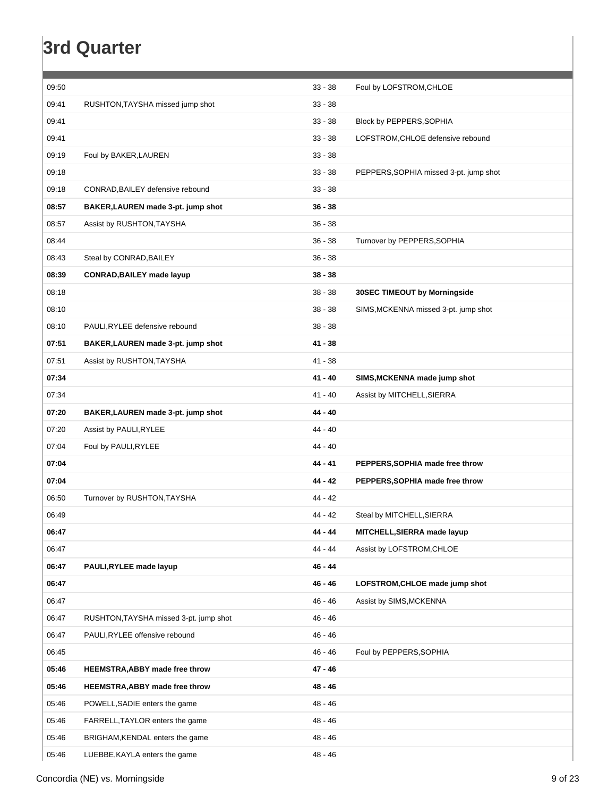### **3rd Quarter**

| 09:50 |                                        | $33 - 38$ | Foul by LOFSTROM, CHLOE                |
|-------|----------------------------------------|-----------|----------------------------------------|
| 09:41 | RUSHTON, TAYSHA missed jump shot       | $33 - 38$ |                                        |
| 09:41 |                                        | $33 - 38$ | Block by PEPPERS, SOPHIA               |
| 09:41 |                                        | $33 - 38$ | LOFSTROM, CHLOE defensive rebound      |
| 09:19 | Foul by BAKER, LAUREN                  | $33 - 38$ |                                        |
| 09:18 |                                        | $33 - 38$ | PEPPERS, SOPHIA missed 3-pt. jump shot |
| 09:18 | CONRAD, BAILEY defensive rebound       | $33 - 38$ |                                        |
| 08:57 | BAKER, LAUREN made 3-pt. jump shot     | $36 - 38$ |                                        |
| 08:57 | Assist by RUSHTON, TAYSHA              | $36 - 38$ |                                        |
| 08:44 |                                        | $36 - 38$ | Turnover by PEPPERS, SOPHIA            |
| 08:43 | Steal by CONRAD, BAILEY                | $36 - 38$ |                                        |
| 08:39 | <b>CONRAD, BAILEY made layup</b>       | $38 - 38$ |                                        |
| 08:18 |                                        | $38 - 38$ | <b>30SEC TIMEOUT by Morningside</b>    |
| 08:10 |                                        | $38 - 38$ | SIMS, MCKENNA missed 3-pt. jump shot   |
| 08:10 | PAULI, RYLEE defensive rebound         | $38 - 38$ |                                        |
| 07:51 | BAKER, LAUREN made 3-pt. jump shot     | $41 - 38$ |                                        |
| 07:51 | Assist by RUSHTON, TAYSHA              | 41 - 38   |                                        |
| 07:34 |                                        | $41 - 40$ | SIMS, MCKENNA made jump shot           |
| 07:34 |                                        | $41 - 40$ | Assist by MITCHELL, SIERRA             |
| 07:20 | BAKER, LAUREN made 3-pt. jump shot     | 44 - 40   |                                        |
| 07:20 | Assist by PAULI, RYLEE                 | $44 - 40$ |                                        |
| 07:04 | Foul by PAULI, RYLEE                   | 44 - 40   |                                        |
| 07:04 |                                        | 44 - 41   | PEPPERS, SOPHIA made free throw        |
| 07:04 |                                        | 44 - 42   | PEPPERS, SOPHIA made free throw        |
| 06:50 | Turnover by RUSHTON, TAYSHA            | 44 - 42   |                                        |
| 06:49 |                                        | 44 - 42   | Steal by MITCHELL, SIERRA              |
| 06:47 |                                        | 44 - 44   | MITCHELL, SIERRA made layup            |
| 06:47 |                                        | 44 - 44   | Assist by LOFSTROM, CHLOE              |
| 06:47 | PAULI, RYLEE made layup                | 46 - 44   |                                        |
| 06:47 |                                        | 46 - 46   | LOFSTROM, CHLOE made jump shot         |
| 06:47 |                                        | 46 - 46   | Assist by SIMS, MCKENNA                |
| 06:47 | RUSHTON, TAYSHA missed 3-pt. jump shot | $46 - 46$ |                                        |
| 06:47 | PAULI, RYLEE offensive rebound         | 46 - 46   |                                        |
| 06:45 |                                        | 46 - 46   | Foul by PEPPERS, SOPHIA                |
| 05:46 | <b>HEEMSTRA, ABBY made free throw</b>  | 47 - 46   |                                        |
| 05:46 | <b>HEEMSTRA, ABBY made free throw</b>  | 48 - 46   |                                        |
| 05:46 | POWELL, SADIE enters the game          | 48 - 46   |                                        |
| 05:46 | FARRELL, TAYLOR enters the game        | 48 - 46   |                                        |
| 05:46 | BRIGHAM, KENDAL enters the game        | 48 - 46   |                                        |
| 05:46 | LUEBBE, KAYLA enters the game          | 48 - 46   |                                        |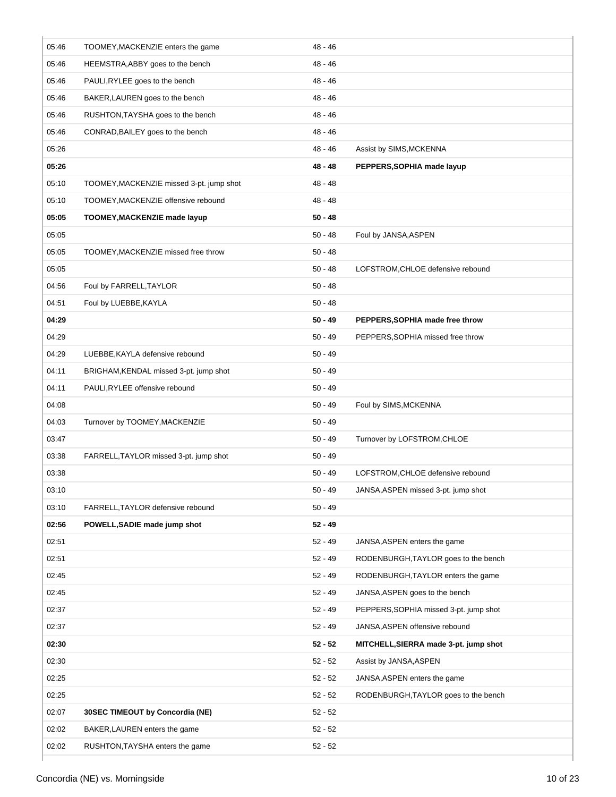| 05:46 | TOOMEY, MACKENZIE enters the game        | 48 - 46   |                                        |
|-------|------------------------------------------|-----------|----------------------------------------|
| 05:46 | HEEMSTRA, ABBY goes to the bench         | 48 - 46   |                                        |
| 05:46 | PAULI, RYLEE goes to the bench           | 48 - 46   |                                        |
| 05:46 | BAKER, LAUREN goes to the bench          | 48 - 46   |                                        |
| 05:46 | RUSHTON, TAYSHA goes to the bench        | 48 - 46   |                                        |
| 05:46 | CONRAD, BAILEY goes to the bench         | 48 - 46   |                                        |
| 05:26 |                                          | 48 - 46   | Assist by SIMS, MCKENNA                |
| 05:26 |                                          | 48 - 48   | PEPPERS, SOPHIA made layup             |
| 05:10 | TOOMEY, MACKENZIE missed 3-pt. jump shot | 48 - 48   |                                        |
| 05:10 | TOOMEY, MACKENZIE offensive rebound      | 48 - 48   |                                        |
| 05:05 | TOOMEY, MACKENZIE made layup             | $50 - 48$ |                                        |
| 05:05 |                                          | $50 - 48$ | Foul by JANSA, ASPEN                   |
| 05:05 | TOOMEY, MACKENZIE missed free throw      | $50 - 48$ |                                        |
| 05:05 |                                          | $50 - 48$ | LOFSTROM, CHLOE defensive rebound      |
| 04:56 | Foul by FARRELL, TAYLOR                  | $50 - 48$ |                                        |
| 04:51 | Foul by LUEBBE, KAYLA                    | $50 - 48$ |                                        |
| 04:29 |                                          | $50 - 49$ | PEPPERS, SOPHIA made free throw        |
| 04:29 |                                          | $50 - 49$ | PEPPERS, SOPHIA missed free throw      |
| 04:29 | LUEBBE, KAYLA defensive rebound          | 50 - 49   |                                        |
| 04:11 | BRIGHAM, KENDAL missed 3-pt. jump shot   | $50 - 49$ |                                        |
| 04:11 | PAULI, RYLEE offensive rebound           | $50 - 49$ |                                        |
| 04:08 |                                          | $50 - 49$ | Foul by SIMS, MCKENNA                  |
| 04:03 | Turnover by TOOMEY, MACKENZIE            | $50 - 49$ |                                        |
| 03:47 |                                          | $50 - 49$ | Turnover by LOFSTROM, CHLOE            |
| 03:38 | FARRELL, TAYLOR missed 3-pt. jump shot   | $50 - 49$ |                                        |
| 03:38 |                                          | 50 - 49   | LOFSTROM, CHLOE defensive rebound      |
| 03:10 |                                          | $50 - 49$ | JANSA, ASPEN missed 3-pt. jump shot    |
| 03:10 | FARRELL, TAYLOR defensive rebound        | $50 - 49$ |                                        |
| 02:56 | POWELL, SADIE made jump shot             | $52 - 49$ |                                        |
| 02:51 |                                          | $52 - 49$ | JANSA, ASPEN enters the game           |
| 02:51 |                                          | $52 - 49$ | RODENBURGH, TAYLOR goes to the bench   |
| 02:45 |                                          | $52 - 49$ | RODENBURGH, TAYLOR enters the game     |
| 02:45 |                                          | $52 - 49$ | JANSA, ASPEN goes to the bench         |
| 02:37 |                                          | $52 - 49$ | PEPPERS, SOPHIA missed 3-pt. jump shot |
| 02:37 |                                          | $52 - 49$ | JANSA, ASPEN offensive rebound         |
| 02:30 |                                          | $52 - 52$ | MITCHELL, SIERRA made 3-pt. jump shot  |
| 02:30 |                                          | $52 - 52$ | Assist by JANSA, ASPEN                 |
| 02:25 |                                          | $52 - 52$ | JANSA, ASPEN enters the game           |
| 02:25 |                                          | $52 - 52$ | RODENBURGH, TAYLOR goes to the bench   |
| 02:07 | 30SEC TIMEOUT by Concordia (NE)          | $52 - 52$ |                                        |
| 02:02 | BAKER, LAUREN enters the game            | $52 - 52$ |                                        |
| 02:02 | RUSHTON, TAYSHA enters the game          | $52 - 52$ |                                        |
|       |                                          |           |                                        |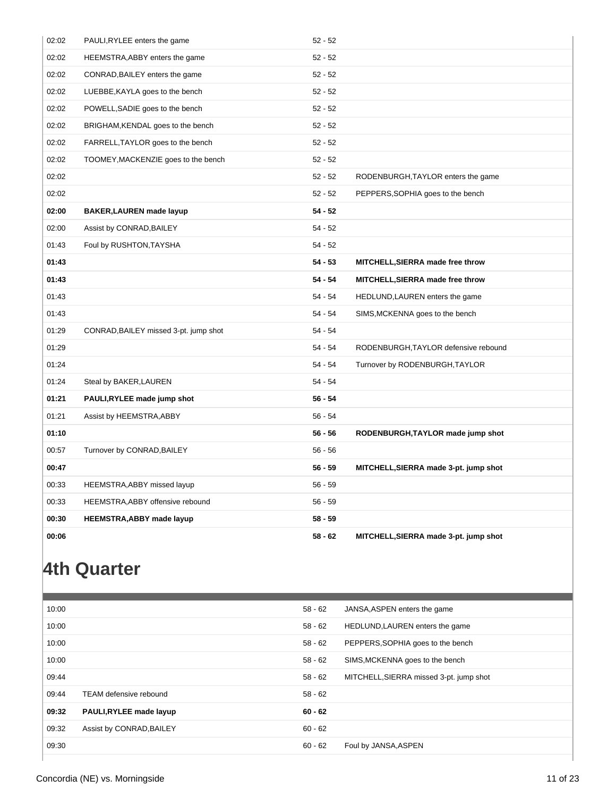| 02:02 | PAULI, RYLEE enters the game          | $52 - 52$ |                                       |
|-------|---------------------------------------|-----------|---------------------------------------|
| 02:02 | HEEMSTRA, ABBY enters the game        | $52 - 52$ |                                       |
| 02:02 | CONRAD, BAILEY enters the game        | $52 - 52$ |                                       |
| 02:02 | LUEBBE, KAYLA goes to the bench       | $52 - 52$ |                                       |
| 02:02 | POWELL, SADIE goes to the bench       | $52 - 52$ |                                       |
| 02:02 | BRIGHAM, KENDAL goes to the bench     | $52 - 52$ |                                       |
| 02:02 | FARRELL, TAYLOR goes to the bench     | $52 - 52$ |                                       |
| 02:02 | TOOMEY, MACKENZIE goes to the bench   | $52 - 52$ |                                       |
| 02:02 |                                       | $52 - 52$ | RODENBURGH, TAYLOR enters the game    |
| 02:02 |                                       | $52 - 52$ | PEPPERS, SOPHIA goes to the bench     |
| 02:00 | <b>BAKER, LAUREN</b> made layup       | $54 - 52$ |                                       |
| 02:00 | Assist by CONRAD, BAILEY              | $54 - 52$ |                                       |
| 01:43 | Foul by RUSHTON, TAYSHA               | $54 - 52$ |                                       |
| 01:43 |                                       | $54 - 53$ | MITCHELL, SIERRA made free throw      |
| 01:43 |                                       | $54 - 54$ | MITCHELL, SIERRA made free throw      |
| 01:43 |                                       | $54 - 54$ | HEDLUND, LAUREN enters the game       |
| 01:43 |                                       | $54 - 54$ | SIMS, MCKENNA goes to the bench       |
| 01:29 | CONRAD, BAILEY missed 3-pt. jump shot | $54 - 54$ |                                       |
| 01:29 |                                       | $54 - 54$ | RODENBURGH, TAYLOR defensive rebound  |
| 01:24 |                                       | $54 - 54$ | Turnover by RODENBURGH, TAYLOR        |
| 01:24 | Steal by BAKER, LAUREN                | $54 - 54$ |                                       |
| 01:21 | PAULI, RYLEE made jump shot           | $56 - 54$ |                                       |
| 01:21 | Assist by HEEMSTRA, ABBY              | $56 - 54$ |                                       |
| 01:10 |                                       | $56 - 56$ | RODENBURGH, TAYLOR made jump shot     |
| 00:57 | Turnover by CONRAD, BAILEY            | $56 - 56$ |                                       |
| 00:47 |                                       | $56 - 59$ | MITCHELL, SIERRA made 3-pt. jump shot |
| 00:33 | HEEMSTRA, ABBY missed layup           | $56 - 59$ |                                       |
| 00:33 | HEEMSTRA, ABBY offensive rebound      | $56 - 59$ |                                       |
| 00:30 | <b>HEEMSTRA, ABBY made layup</b>      | $58 - 59$ |                                       |
| 00:06 |                                       | $58 - 62$ | MITCHELL, SIERRA made 3-pt. jump shot |

### **4th Quarter**

| 10:00 |                          | 58 - 62   | JANSA, ASPEN enters the game            |
|-------|--------------------------|-----------|-----------------------------------------|
| 10:00 |                          | $58 - 62$ | HEDLUND, LAUREN enters the game         |
| 10:00 |                          | $58 - 62$ | PEPPERS, SOPHIA goes to the bench       |
| 10:00 |                          | 58 - 62   | SIMS, MCKENNA goes to the bench         |
| 09:44 |                          | 58 - 62   | MITCHELL, SIERRA missed 3-pt. jump shot |
| 09:44 | TEAM defensive rebound   | $58 - 62$ |                                         |
| 09:32 | PAULI, RYLEE made layup  | $60 - 62$ |                                         |
| 09:32 | Assist by CONRAD, BAILEY | $60 - 62$ |                                         |
| 09:30 |                          | $60 - 62$ | Foul by JANSA, ASPEN                    |
|       |                          |           |                                         |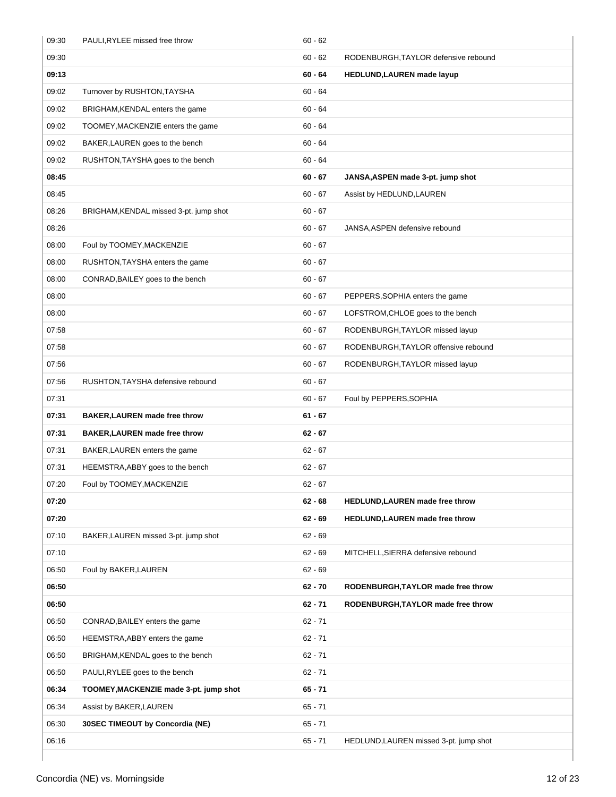| 09:30 | PAULI, RYLEE missed free throw         | $60 - 62$ |                                        |
|-------|----------------------------------------|-----------|----------------------------------------|
| 09:30 |                                        | $60 - 62$ | RODENBURGH, TAYLOR defensive rebound   |
| 09:13 |                                        | $60 - 64$ | HEDLUND, LAUREN made layup             |
| 09:02 | Turnover by RUSHTON, TAYSHA            | $60 - 64$ |                                        |
| 09:02 | BRIGHAM, KENDAL enters the game        | $60 - 64$ |                                        |
| 09:02 | TOOMEY, MACKENZIE enters the game      | $60 - 64$ |                                        |
| 09:02 | BAKER, LAUREN goes to the bench        | $60 - 64$ |                                        |
| 09:02 | RUSHTON, TAYSHA goes to the bench      | $60 - 64$ |                                        |
| 08:45 |                                        | $60 - 67$ | JANSA, ASPEN made 3-pt. jump shot      |
| 08:45 |                                        | $60 - 67$ | Assist by HEDLUND, LAUREN              |
| 08:26 | BRIGHAM, KENDAL missed 3-pt. jump shot | $60 - 67$ |                                        |
| 08:26 |                                        | $60 - 67$ | JANSA, ASPEN defensive rebound         |
| 08:00 | Foul by TOOMEY, MACKENZIE              | $60 - 67$ |                                        |
| 08:00 | RUSHTON, TAYSHA enters the game        | $60 - 67$ |                                        |
| 08:00 | CONRAD, BAILEY goes to the bench       | $60 - 67$ |                                        |
| 08:00 |                                        | $60 - 67$ | PEPPERS, SOPHIA enters the game        |
| 08:00 |                                        | $60 - 67$ | LOFSTROM, CHLOE goes to the bench      |
| 07:58 |                                        | $60 - 67$ | RODENBURGH, TAYLOR missed layup        |
| 07:58 |                                        | $60 - 67$ | RODENBURGH, TAYLOR offensive rebound   |
| 07:56 |                                        | $60 - 67$ | RODENBURGH, TAYLOR missed layup        |
| 07:56 | RUSHTON, TAYSHA defensive rebound      | $60 - 67$ |                                        |
| 07:31 |                                        | $60 - 67$ | Foul by PEPPERS, SOPHIA                |
| 07:31 | <b>BAKER, LAUREN</b> made free throw   | $61 - 67$ |                                        |
| 07:31 | BAKER, LAUREN made free throw          | $62 - 67$ |                                        |
| 07:31 | BAKER, LAUREN enters the game          | $62 - 67$ |                                        |
| 07:31 | HEEMSTRA, ABBY goes to the bench       | $62 - 67$ |                                        |
| 07:20 |                                        |           |                                        |
|       | Foul by TOOMEY, MACKENZIE              | 62 - 67   |                                        |
| 07:20 |                                        | $62 - 68$ | <b>HEDLUND, LAUREN</b> made free throw |
| 07:20 |                                        | $62 - 69$ | <b>HEDLUND, LAUREN</b> made free throw |
| 07:10 | BAKER, LAUREN missed 3-pt. jump shot   | $62 - 69$ |                                        |
| 07:10 |                                        | $62 - 69$ | MITCHELL, SIERRA defensive rebound     |
| 06:50 | Foul by BAKER, LAUREN                  | $62 - 69$ |                                        |
| 06:50 |                                        | 62 - 70   | RODENBURGH, TAYLOR made free throw     |
| 06:50 |                                        | $62 - 71$ | RODENBURGH, TAYLOR made free throw     |
| 06:50 | CONRAD, BAILEY enters the game         | $62 - 71$ |                                        |
| 06:50 | HEEMSTRA, ABBY enters the game         | $62 - 71$ |                                        |
| 06:50 | BRIGHAM, KENDAL goes to the bench      | $62 - 71$ |                                        |
| 06:50 | PAULI, RYLEE goes to the bench         | $62 - 71$ |                                        |
| 06:34 | TOOMEY, MACKENZIE made 3-pt. jump shot | 65 - 71   |                                        |
| 06:34 | Assist by BAKER, LAUREN                | $65 - 71$ |                                        |
| 06:30 | 30SEC TIMEOUT by Concordia (NE)        | $65 - 71$ |                                        |
| 06:16 |                                        | $65 - 71$ | HEDLUND, LAUREN missed 3-pt. jump shot |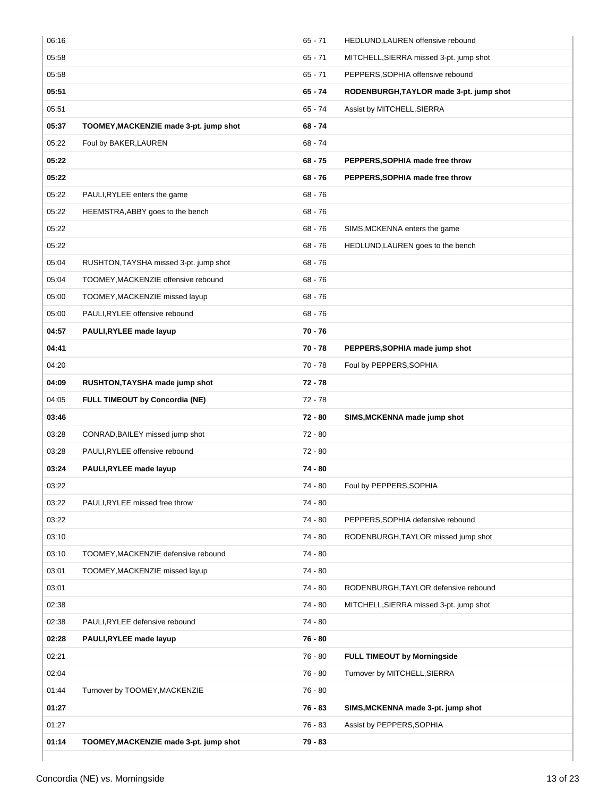| 06:16 |                                        | $65 - 71$ | HEDLUND, LAUREN offensive rebound       |
|-------|----------------------------------------|-----------|-----------------------------------------|
| 05:58 |                                        | $65 - 71$ | MITCHELL, SIERRA missed 3-pt. jump shot |
| 05:58 |                                        | $65 - 71$ | PEPPERS, SOPHIA offensive rebound       |
| 05:51 |                                        | $65 - 74$ | RODENBURGH, TAYLOR made 3-pt. jump shot |
| 05:51 |                                        | $65 - 74$ | Assist by MITCHELL, SIERRA              |
| 05:37 | TOOMEY, MACKENZIE made 3-pt. jump shot | $68 - 74$ |                                         |
| 05:22 | Foul by BAKER, LAUREN                  | $68 - 74$ |                                         |
| 05:22 |                                        | $68 - 75$ | PEPPERS, SOPHIA made free throw         |
| 05:22 |                                        | $68 - 76$ | PEPPERS, SOPHIA made free throw         |
| 05:22 | PAULI, RYLEE enters the game           | $68 - 76$ |                                         |
| 05:22 | HEEMSTRA, ABBY goes to the bench       | $68 - 76$ |                                         |
| 05:22 |                                        | $68 - 76$ | SIMS, MCKENNA enters the game           |
| 05:22 |                                        | $68 - 76$ | HEDLUND, LAUREN goes to the bench       |
| 05:04 | RUSHTON, TAYSHA missed 3-pt. jump shot | $68 - 76$ |                                         |
| 05:04 | TOOMEY, MACKENZIE offensive rebound    | $68 - 76$ |                                         |
| 05:00 | TOOMEY, MACKENZIE missed layup         | $68 - 76$ |                                         |
| 05:00 | PAULI, RYLEE offensive rebound         | $68 - 76$ |                                         |
| 04:57 | PAULI, RYLEE made layup                | $70 - 76$ |                                         |
| 04:41 |                                        | $70 - 78$ | PEPPERS, SOPHIA made jump shot          |
| 04:20 |                                        | 70 - 78   | Foul by PEPPERS, SOPHIA                 |
| 04:09 | RUSHTON, TAYSHA made jump shot         | $72 - 78$ |                                         |
| 04:05 | <b>FULL TIMEOUT by Concordia (NE)</b>  | $72 - 78$ |                                         |
| 03:46 |                                        | 72 - 80   | SIMS, MCKENNA made jump shot            |
| 03:28 | CONRAD, BAILEY missed jump shot        | 72 - 80   |                                         |
| 03:28 | PAULI, RYLEE offensive rebound         | $72 - 80$ |                                         |
| 03:24 | PAULI, RYLEE made layup                | $74 - 80$ |                                         |
| 03:22 |                                        | 74 - 80   | Foul by PEPPERS, SOPHIA                 |
| 03:22 | PAULI, RYLEE missed free throw         | 74 - 80   |                                         |
| 03:22 |                                        | 74 - 80   | PEPPERS, SOPHIA defensive rebound       |
| 03:10 |                                        | $74 - 80$ | RODENBURGH, TAYLOR missed jump shot     |
| 03:10 | TOOMEY, MACKENZIE defensive rebound    | 74 - 80   |                                         |
| 03:01 | TOOMEY, MACKENZIE missed layup         | $74 - 80$ |                                         |
| 03:01 |                                        | $74 - 80$ | RODENBURGH, TAYLOR defensive rebound    |
| 02:38 |                                        | 74 - 80   | MITCHELL, SIERRA missed 3-pt. jump shot |
| 02:38 | PAULI, RYLEE defensive rebound         | 74 - 80   |                                         |
| 02:28 | PAULI, RYLEE made layup                | $76 - 80$ |                                         |
| 02:21 |                                        | $76 - 80$ | <b>FULL TIMEOUT by Morningside</b>      |
| 02:04 |                                        | 76 - 80   | Turnover by MITCHELL, SIERRA            |
| 01:44 | Turnover by TOOMEY, MACKENZIE          | $76 - 80$ |                                         |
| 01:27 |                                        | $76 - 83$ | SIMS, MCKENNA made 3-pt. jump shot      |
| 01:27 |                                        | 76 - 83   | Assist by PEPPERS, SOPHIA               |
| 01:14 | TOOMEY, MACKENZIE made 3-pt. jump shot | 79 - 83   |                                         |
|       |                                        |           |                                         |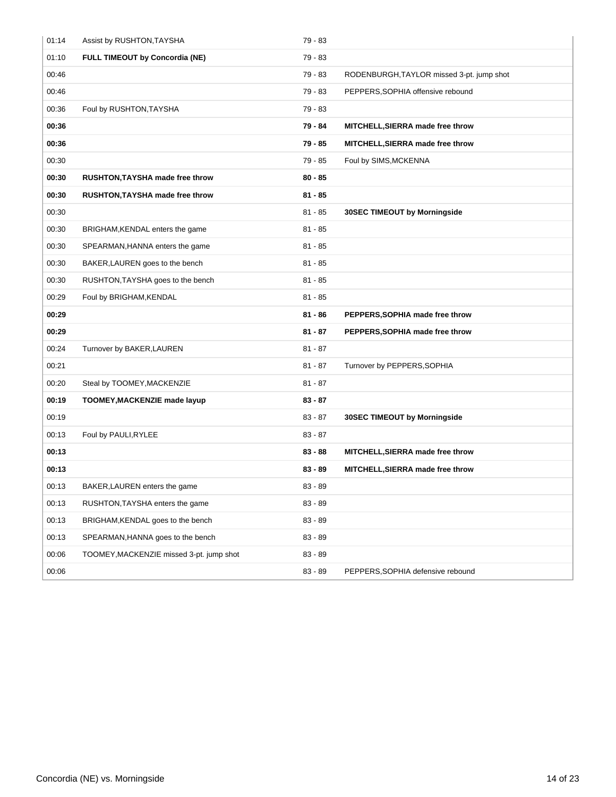| 01:14 | Assist by RUSHTON, TAYSHA                | 79 - 83   |                                           |
|-------|------------------------------------------|-----------|-------------------------------------------|
| 01:10 | <b>FULL TIMEOUT by Concordia (NE)</b>    | $79 - 83$ |                                           |
| 00:46 |                                          | 79 - 83   | RODENBURGH, TAYLOR missed 3-pt. jump shot |
| 00:46 |                                          | 79 - 83   | PEPPERS, SOPHIA offensive rebound         |
| 00:36 | Foul by RUSHTON, TAYSHA                  | 79 - 83   |                                           |
| 00:36 |                                          | 79 - 84   | MITCHELL, SIERRA made free throw          |
| 00:36 |                                          | 79 - 85   | MITCHELL, SIERRA made free throw          |
| 00:30 |                                          | 79 - 85   | Foul by SIMS, MCKENNA                     |
| 00:30 | RUSHTON, TAYSHA made free throw          | $80 - 85$ |                                           |
| 00:30 | RUSHTON, TAYSHA made free throw          | $81 - 85$ |                                           |
| 00:30 |                                          | $81 - 85$ | <b>30SEC TIMEOUT by Morningside</b>       |
| 00:30 | BRIGHAM, KENDAL enters the game          | $81 - 85$ |                                           |
| 00:30 | SPEARMAN, HANNA enters the game          | $81 - 85$ |                                           |
| 00:30 | BAKER, LAUREN goes to the bench          | $81 - 85$ |                                           |
| 00:30 | RUSHTON, TAYSHA goes to the bench        | $81 - 85$ |                                           |
| 00:29 | Foul by BRIGHAM, KENDAL                  | $81 - 85$ |                                           |
|       |                                          |           |                                           |
| 00:29 |                                          | $81 - 86$ | PEPPERS, SOPHIA made free throw           |
| 00:29 |                                          | $81 - 87$ | PEPPERS, SOPHIA made free throw           |
| 00:24 | Turnover by BAKER, LAUREN                | $81 - 87$ |                                           |
| 00:21 |                                          | $81 - 87$ | Turnover by PEPPERS, SOPHIA               |
| 00:20 | Steal by TOOMEY, MACKENZIE               | $81 - 87$ |                                           |
| 00:19 | TOOMEY, MACKENZIE made layup             | $83 - 87$ |                                           |
| 00:19 |                                          | $83 - 87$ | <b>30SEC TIMEOUT by Morningside</b>       |
| 00:13 | Foul by PAULI, RYLEE                     | $83 - 87$ |                                           |
| 00:13 |                                          | $83 - 88$ | MITCHELL, SIERRA made free throw          |
| 00:13 |                                          | $83 - 89$ | MITCHELL, SIERRA made free throw          |
| 00:13 | BAKER, LAUREN enters the game            | $83 - 89$ |                                           |
| 00:13 | RUSHTON, TAYSHA enters the game          | $83 - 89$ |                                           |
| 00:13 | BRIGHAM, KENDAL goes to the bench        | $83 - 89$ |                                           |
| 00:13 | SPEARMAN, HANNA goes to the bench        | $83 - 89$ |                                           |
| 00:06 | TOOMEY, MACKENZIE missed 3-pt. jump shot | $83 - 89$ |                                           |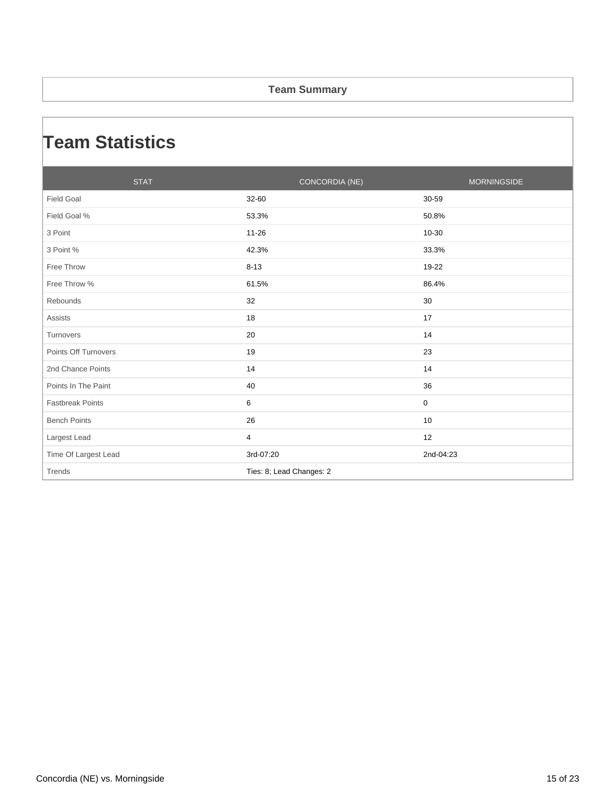#### **Team Summary**

### **Team Statistics**

| <b>STAT</b>             | CONCORDIA (NE)           | <b>MORNINGSIDE</b> |
|-------------------------|--------------------------|--------------------|
| <b>Field Goal</b>       | 32-60                    | 30-59              |
| Field Goal %            | 53.3%                    | 50.8%              |
| 3 Point                 | $11 - 26$                | 10-30              |
| 3 Point %               | 42.3%                    | 33.3%              |
| Free Throw              | $8 - 13$                 | 19-22              |
| Free Throw %            | 61.5%                    | 86.4%              |
| Rebounds                | 32                       | 30                 |
| <b>Assists</b>          | 18                       | 17                 |
| Turnovers               | 20                       | 14                 |
| Points Off Turnovers    | 19                       | 23                 |
| 2nd Chance Points       | 14                       | 14                 |
| Points In The Paint     | 40                       | 36                 |
| <b>Fastbreak Points</b> | 6                        | $\mathbf 0$        |
| <b>Bench Points</b>     | 26                       | 10                 |
| Largest Lead            | 4                        | 12                 |
| Time Of Largest Lead    | 3rd-07:20                | 2nd-04:23          |
| Trends                  | Ties: 8; Lead Changes: 2 |                    |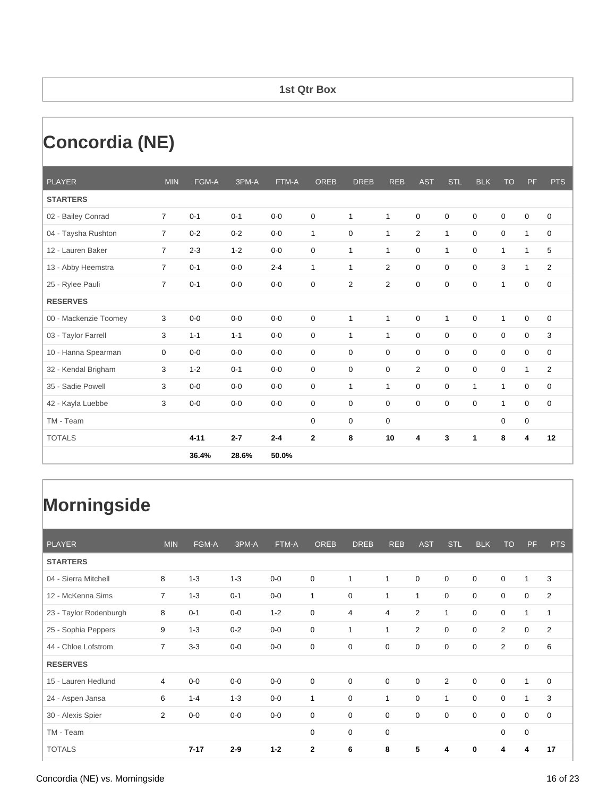#### **1st Qtr Box**

# **Concordia (NE)**

| <b>PLAYER</b>         | <b>MIN</b>     | FGM-A    | 3PM-A   | FTM-A   | <b>OREB</b>  | <b>DREB</b>  | <b>REB</b>   | <b>AST</b>     | <b>STL</b>     | <b>BLK</b>   | <b>TO</b>    | PF           | <b>PTS</b>     |
|-----------------------|----------------|----------|---------|---------|--------------|--------------|--------------|----------------|----------------|--------------|--------------|--------------|----------------|
| <b>STARTERS</b>       |                |          |         |         |              |              |              |                |                |              |              |              |                |
| 02 - Bailey Conrad    | $\overline{7}$ | $0 - 1$  | $0 - 1$ | $0-0$   | 0            | $\mathbf{1}$ | $\mathbf{1}$ | $\mathbf 0$    | $\mathbf 0$    | $\mathbf 0$  | 0            | $\mathbf 0$  | 0              |
| 04 - Taysha Rushton   | $\overline{7}$ | $0 - 2$  | $0 - 2$ | $0 - 0$ | $\mathbf{1}$ | $\mathbf 0$  | $\mathbf{1}$ | 2              | $\overline{1}$ | $\mathbf 0$  | $\mathbf 0$  | $\mathbf{1}$ | 0              |
| 12 - Lauren Baker     | $\overline{7}$ | $2 - 3$  | $1 - 2$ | $0-0$   | 0            | $\mathbf{1}$ | $\mathbf{1}$ | $\mathbf 0$    | $\mathbf{1}$   | $\mathbf 0$  | $\mathbf{1}$ | $\mathbf{1}$ | 5              |
| 13 - Abby Heemstra    | $\overline{7}$ | $0 - 1$  | $0 - 0$ | $2 - 4$ | $\mathbf{1}$ | $\mathbf{1}$ | 2            | $\mathbf 0$    | $\mathbf 0$    | 0            | 3            | $\mathbf{1}$ | $\overline{2}$ |
| 25 - Rylee Pauli      | $\overline{7}$ | $0 - 1$  | $0-0$   | $0-0$   | 0            | 2            | 2            | 0              | $\mathbf 0$    | 0            | $\mathbf{1}$ | 0            | 0              |
| <b>RESERVES</b>       |                |          |         |         |              |              |              |                |                |              |              |              |                |
| 00 - Mackenzie Toomey | 3              | $0 - 0$  | $0 - 0$ | $0 - 0$ | 0            | $\mathbf{1}$ | 1            | 0              | 1              | 0            | $\mathbf{1}$ | $\mathbf 0$  | $\mathbf 0$    |
| 03 - Taylor Farrell   | 3              | $1 - 1$  | $1 - 1$ | $0 - 0$ | 0            | $\mathbf{1}$ | $\mathbf{1}$ | $\mathbf 0$    | 0              | 0            | 0            | 0            | 3              |
| 10 - Hanna Spearman   | 0              | $0 - 0$  | $0 - 0$ | $0-0$   | 0            | 0            | $\mathbf 0$  | $\mathbf 0$    | $\mathbf 0$    | $\mathbf 0$  | $\mathbf 0$  | 0            | 0              |
| 32 - Kendal Brigham   | 3              | $1 - 2$  | $0 - 1$ | $0-0$   | 0            | 0            | 0            | $\overline{2}$ | $\Omega$       | $\mathbf 0$  | 0            | $\mathbf{1}$ | $\overline{2}$ |
| 35 - Sadie Powell     | 3              | $0-0$    | $0-0$   | $0-0$   | 0            | $\mathbf{1}$ | $\mathbf{1}$ | 0              | 0              | $\mathbf{1}$ | $\mathbf{1}$ | 0            | 0              |
| 42 - Kayla Luebbe     | 3              | $0-0$    | $0-0$   | $0-0$   | 0            | 0            | 0            | $\mathbf 0$    | $\mathbf 0$    | $\mathbf 0$  | $\mathbf{1}$ | 0            | 0              |
| TM - Team             |                |          |         |         | 0            | 0            | $\mathbf 0$  |                |                |              | 0            | 0            |                |
| <b>TOTALS</b>         |                | $4 - 11$ | $2 - 7$ | $2 - 4$ | $\mathbf 2$  | 8            | 10           | 4              | 3              | 1            | 8            | 4            | 12             |
|                       |                | 36.4%    | 28.6%   | 50.0%   |              |              |              |                |                |              |              |              |                |

| <b>PLAYER</b>          | <b>MIN</b>     | FGM-A    | 3PM-A   | FTM-A   | <b>OREB</b> | <b>DREB</b>  | <b>REB</b>  | <b>AST</b>     | STL         | <b>BLK</b>  | <b>TO</b>      | <b>PF</b>    | <b>PTS</b>     |
|------------------------|----------------|----------|---------|---------|-------------|--------------|-------------|----------------|-------------|-------------|----------------|--------------|----------------|
| <b>STARTERS</b>        |                |          |         |         |             |              |             |                |             |             |                |              |                |
| 04 - Sierra Mitchell   | 8              | $1 - 3$  | $1 - 3$ | $0-0$   | $\mathbf 0$ | 1            | 1           | $\mathbf 0$    | $\mathbf 0$ | $\mathbf 0$ | 0              | $\mathbf{1}$ | 3              |
| 12 - McKenna Sims      | $\overline{7}$ | $1 - 3$  | $0 - 1$ | $0-0$   | 1           | $\mathbf 0$  | 1           | 1              | 0           | $\mathbf 0$ | 0              | 0            | $\overline{2}$ |
| 23 - Taylor Rodenburgh | 8              | $0 - 1$  | $0-0$   | $1 - 2$ | 0           | 4            | 4           | $\overline{2}$ | 1           | $\mathbf 0$ | $\mathbf 0$    | $\mathbf{1}$ | 1              |
| 25 - Sophia Peppers    | 9              | $1 - 3$  | $0 - 2$ | $0-0$   | 0           | $\mathbf{1}$ | 1           | $\overline{2}$ | 0           | $\mathbf 0$ | $\overline{2}$ | 0            | $\overline{2}$ |
| 44 - Chloe Lofstrom    | $\overline{7}$ | $3 - 3$  | $0-0$   | $0-0$   | $\mathbf 0$ | $\mathbf 0$  | $\mathbf 0$ | $\mathbf 0$    | $\mathbf 0$ | $\mathbf 0$ | $\overline{2}$ | 0            | 6              |
| <b>RESERVES</b>        |                |          |         |         |             |              |             |                |             |             |                |              |                |
| 15 - Lauren Hedlund    | 4              | $0-0$    | $0-0$   | $0-0$   | $\mathbf 0$ | $\mathbf 0$  | $\mathbf 0$ | $\mathbf 0$    | 2           | $\mathbf 0$ | $\mathbf 0$    | $\mathbf{1}$ | $\mathbf 0$    |
| 24 - Aspen Jansa       | 6              | $1 - 4$  | $1 - 3$ | $0-0$   | 1           | $\mathbf 0$  | 1           | $\mathbf 0$    | 1           | $\mathbf 0$ | $\mathbf 0$    | $\mathbf{1}$ | 3              |
| 30 - Alexis Spier      | $\overline{2}$ | $0-0$    | $0-0$   | $0-0$   | 0           | $\mathbf 0$  | 0           | $\mathbf 0$    | $\mathbf 0$ | $\mathbf 0$ | $\mathbf 0$    | 0            | $\mathbf 0$    |
| TM - Team              |                |          |         |         | 0           | $\mathbf 0$  | $\mathbf 0$ |                |             |             | $\mathbf 0$    | $\pmb{0}$    |                |
| <b>TOTALS</b>          |                | $7 - 17$ | $2 - 9$ | $1 - 2$ | 2           | 6            | 8           | 5              | 4           | 0           | 4              | 4            | 17             |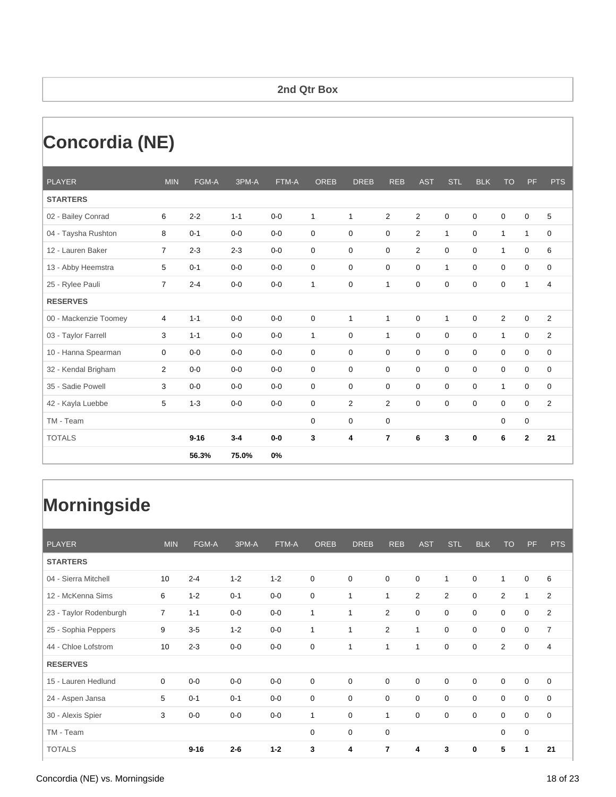#### **2nd Qtr Box**

# **Concordia (NE)**

| <b>PLAYER</b>         | <b>MIN</b>     | FGM-A    | 3PM-A   | FTM-A   | <b>OREB</b>  | <b>DREB</b>  | <b>REB</b>     | <b>AST</b>     | <b>STL</b>     | <b>BLK</b>  | <b>TO</b>      | PF           | <b>PTS</b>     |
|-----------------------|----------------|----------|---------|---------|--------------|--------------|----------------|----------------|----------------|-------------|----------------|--------------|----------------|
| <b>STARTERS</b>       |                |          |         |         |              |              |                |                |                |             |                |              |                |
| 02 - Bailey Conrad    | 6              | $2 - 2$  | $1 - 1$ | $0 - 0$ | $\mathbf{1}$ | $\mathbf{1}$ | $\overline{2}$ | $\overline{2}$ | $\mathbf 0$    | 0           | 0              | $\mathbf 0$  | 5              |
| 04 - Taysha Rushton   | 8              | $0 - 1$  | $0-0$   | $0 - 0$ | 0            | $\mathbf 0$  | $\mathbf 0$    | $\overline{2}$ | $\mathbf{1}$   | $\mathbf 0$ | $\mathbf{1}$   | $\mathbf{1}$ | 0              |
| 12 - Lauren Baker     | $\overline{7}$ | $2 - 3$  | $2 - 3$ | $0-0$   | 0            | $\mathbf 0$  | $\mathbf 0$    | 2              | $\mathbf 0$    | $\mathbf 0$ | $\mathbf{1}$   | 0            | 6              |
| 13 - Abby Heemstra    | 5              | $0 - 1$  | $0-0$   | $0-0$   | 0            | $\mathbf 0$  | 0              | $\mathbf 0$    | 1              | $\mathbf 0$ | 0              | 0            | 0              |
| 25 - Rylee Pauli      | $\overline{7}$ | $2 - 4$  | $0-0$   | $0-0$   | $\mathbf{1}$ | 0            | 1              | 0              | 0              | 0           | 0              | $\mathbf{1}$ | 4              |
| <b>RESERVES</b>       |                |          |         |         |              |              |                |                |                |             |                |              |                |
| 00 - Mackenzie Toomey | 4              | $1 - 1$  | $0-0$   | $0-0$   | 0            | $\mathbf{1}$ | $\mathbf{1}$   | $\mathbf 0$    | $\overline{1}$ | $\mathbf 0$ | $\overline{2}$ | $\mathbf 0$  | 2              |
| 03 - Taylor Farrell   | 3              | $1 - 1$  | $0-0$   | $0 - 0$ | $\mathbf{1}$ | 0            | $\mathbf{1}$   | $\mathbf 0$    | $\mathbf 0$    | $\mathbf 0$ | $\mathbf{1}$   | 0            | $\overline{2}$ |
| 10 - Hanna Spearman   | 0              | $0 - 0$  | $0 - 0$ | $0 - 0$ | 0            | $\mathbf 0$  | $\mathbf 0$    | $\mathbf 0$    | $\mathbf 0$    | $\mathbf 0$ | $\mathbf 0$    | 0            | 0              |
| 32 - Kendal Brigham   | $\overline{2}$ | $0 - 0$  | $0-0$   | $0-0$   | 0            | $\mathbf 0$  | $\mathbf 0$    | $\mathbf 0$    | $\mathbf 0$    | $\mathbf 0$ | $\mathbf 0$    | 0            | $\mathbf 0$    |
| 35 - Sadie Powell     | 3              | $0-0$    | $0-0$   | $0-0$   | 0            | 0            | 0              | $\mathbf 0$    | $\mathbf 0$    | 0           | 1              | 0            | 0              |
| 42 - Kayla Luebbe     | 5              | $1 - 3$  | $0-0$   | $0 - 0$ | 0            | 2            | 2              | $\mathbf 0$    | $\mathbf 0$    | 0           | 0              | 0            | 2              |
| TM - Team             |                |          |         |         | 0            | 0            | $\mathbf 0$    |                |                |             | $\mathbf 0$    | 0            |                |
| <b>TOTALS</b>         |                | $9 - 16$ | $3 - 4$ | $0-0$   | 3            | 4            | $\overline{7}$ | 6              | 3              | 0           | 6              | $\mathbf{2}$ | 21             |
|                       |                | 56.3%    | 75.0%   | 0%      |              |              |                |                |                |             |                |              |                |

| <b>PLAYER</b>          | <b>MIN</b>     | FGM-A    | 3PM-A   | FTM-A   | <b>OREB</b> | <b>DREB</b>  | <b>REB</b>     | <b>AST</b>  | <b>STL</b>  | <b>BLK</b>  | <b>TO</b>      | <b>PF</b>        | <b>PTS</b>     |
|------------------------|----------------|----------|---------|---------|-------------|--------------|----------------|-------------|-------------|-------------|----------------|------------------|----------------|
| <b>STARTERS</b>        |                |          |         |         |             |              |                |             |             |             |                |                  |                |
| 04 - Sierra Mitchell   | 10             | $2 - 4$  | $1 - 2$ | $1 - 2$ | 0           | $\mathbf 0$  | $\mathbf 0$    | $\mathbf 0$ | 1           | $\mathbf 0$ | $\mathbf 1$    | 0                | 6              |
| 12 - McKenna Sims      | 6              | $1 - 2$  | $0 - 1$ | $0-0$   | 0           | 1            | 1              | 2           | 2           | $\mathbf 0$ | $\overline{2}$ | $\mathbf{1}$     | $\overline{2}$ |
| 23 - Taylor Rodenburgh | $\overline{7}$ | $1 - 1$  | $0-0$   | $0-0$   | 1           | $\mathbf{1}$ | 2              | $\mathbf 0$ | $\mathbf 0$ | $\mathbf 0$ | $\mathbf 0$    | 0                | $\overline{2}$ |
| 25 - Sophia Peppers    | 9              | $3-5$    | $1 - 2$ | $0-0$   | 1           | $\mathbf{1}$ | $\overline{2}$ | 1           | $\mathbf 0$ | $\mathbf 0$ | $\mathbf 0$    | $\boldsymbol{0}$ | $\overline{7}$ |
| 44 - Chloe Lofstrom    | 10             | $2 - 3$  | $0-0$   | $0-0$   | 0           | 1            | 1              | 1           | $\mathbf 0$ | $\mathbf 0$ | $\overline{2}$ | $\boldsymbol{0}$ | 4              |
| <b>RESERVES</b>        |                |          |         |         |             |              |                |             |             |             |                |                  |                |
| 15 - Lauren Hedlund    | $\mathbf 0$    | $0-0$    | $0-0$   | $0-0$   | $\mathbf 0$ | $\mathbf 0$  | $\mathbf 0$    | $\mathbf 0$ | $\mathbf 0$ | $\mathbf 0$ | $\mathbf 0$    | $\boldsymbol{0}$ | $\mathbf 0$    |
| 24 - Aspen Jansa       | 5              | $0 - 1$  | $0 - 1$ | $0-0$   | 0           | $\mathbf 0$  | $\mathbf 0$    | $\mathbf 0$ | $\mathbf 0$ | $\mathbf 0$ | $\mathbf 0$    | $\boldsymbol{0}$ | $\mathbf 0$    |
| 30 - Alexis Spier      | 3              | $0-0$    | $0-0$   | $0-0$   | 1           | $\mathbf 0$  | 1              | $\mathbf 0$ | $\mathbf 0$ | $\mathbf 0$ | $\mathbf 0$    | 0                | $\mathbf 0$    |
| TM - Team              |                |          |         |         | $\mathbf 0$ | $\mathbf 0$  | $\mathbf 0$    |             |             |             | 0              | $\mathbf 0$      |                |
| <b>TOTALS</b>          |                | $9 - 16$ | $2 - 6$ | $1 - 2$ | 3           | 4            | $\overline{7}$ | 4           | 3           | $\bf{0}$    | 5              | 1                | 21             |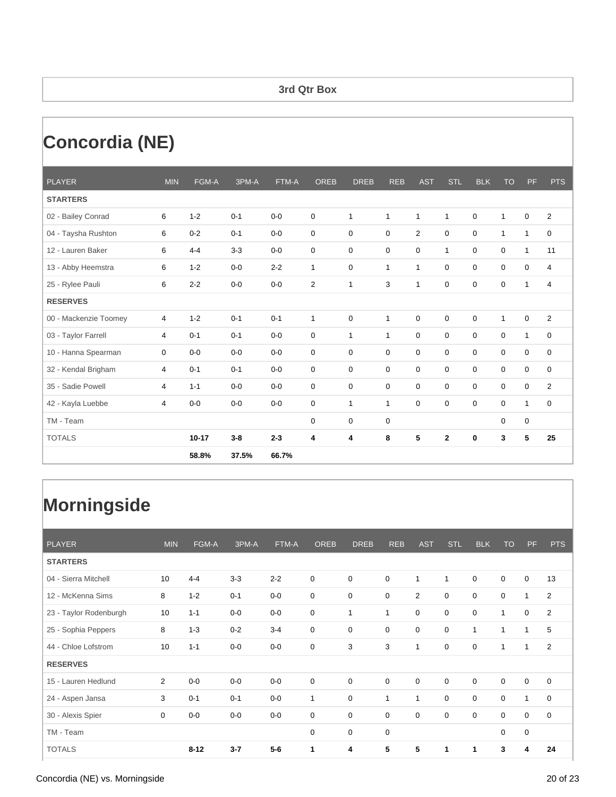#### **3rd Qtr Box**

# **Concordia (NE)**

| <b>PLAYER</b>         | <b>MIN</b> | FGM-A     | 3PM-A   | FTM-A   | <b>OREB</b>    | <b>DREB</b>  | <b>REB</b>   | <b>AST</b>     | <b>STL</b>   | <b>BLK</b>  | <b>TO</b>    | PF               | <b>PTS</b>  |
|-----------------------|------------|-----------|---------|---------|----------------|--------------|--------------|----------------|--------------|-------------|--------------|------------------|-------------|
| <b>STARTERS</b>       |            |           |         |         |                |              |              |                |              |             |              |                  |             |
| 02 - Bailey Conrad    | 6          | $1 - 2$   | $0 - 1$ | $0 - 0$ | 0              | $\mathbf{1}$ | $\mathbf{1}$ | $\mathbf 1$    | $\mathbf{1}$ | 0           | $\mathbf{1}$ | 0                | 2           |
| 04 - Taysha Rushton   | 6          | $0 - 2$   | $0 - 1$ | $0 - 0$ | 0              | $\mathbf 0$  | $\mathbf 0$  | $\overline{2}$ | $\mathbf 0$  | $\mathbf 0$ | 1            | $\mathbf{1}$     | $\mathbf 0$ |
| 12 - Lauren Baker     | 6          | $4 - 4$   | $3 - 3$ | $0 - 0$ | 0              | 0            | $\mathbf 0$  | $\mathbf 0$    | $\mathbf{1}$ | 0           | 0            | $\mathbf{1}$     | 11          |
| 13 - Abby Heemstra    | 6          | $1 - 2$   | $0 - 0$ | $2 - 2$ | $\mathbf{1}$   | 0            | 1            | $\mathbf 1$    | 0            | 0           | 0            | 0                | 4           |
| 25 - Rylee Pauli      | 6          | $2 - 2$   | $0 - 0$ | $0-0$   | $\overline{2}$ | 1            | 3            | $\mathbf{1}$   | 0            | 0           | 0            | $\mathbf{1}$     | 4           |
| <b>RESERVES</b>       |            |           |         |         |                |              |              |                |              |             |              |                  |             |
| 00 - Mackenzie Toomey | 4          | $1 - 2$   | $0 - 1$ | $0 - 1$ | $\mathbf{1}$   | 0            | 1            | $\mathbf 0$    | $\mathbf 0$  | $\mathbf 0$ | 1            | 0                | 2           |
| 03 - Taylor Farrell   | 4          | $0 - 1$   | $0 - 1$ | $0-0$   | 0              | $\mathbf{1}$ | $\mathbf{1}$ | 0              | $\mathbf 0$  | $\mathbf 0$ | 0            | $\mathbf{1}$     | $\mathbf 0$ |
| 10 - Hanna Spearman   | 0          | $0 - 0$   | $0 - 0$ | $0 - 0$ | 0              | $\mathbf 0$  | $\mathbf 0$  | $\mathbf 0$    | $\mathbf 0$  | $\mathbf 0$ | $\mathbf 0$  | $\boldsymbol{0}$ | $\mathbf 0$ |
| 32 - Kendal Brigham   | 4          | $0 - 1$   | $0 - 1$ | $0 - 0$ | 0              | $\mathbf 0$  | $\mathbf 0$  | $\mathbf 0$    | $\mathbf 0$  | 0           | $\mathbf 0$  | 0                | $\mathbf 0$ |
| 35 - Sadie Powell     | 4          | $1 - 1$   | $0 - 0$ | $0-0$   | 0              | 0            | 0            | 0              | $\mathbf 0$  | $\mathbf 0$ | 0            | 0                | 2           |
| 42 - Kayla Luebbe     | 4          | $0-0$     | $0 - 0$ | $0 - 0$ | 0              | $\mathbf{1}$ | $\mathbf{1}$ | $\mathbf 0$    | $\mathbf 0$  | $\mathbf 0$ | 0            | $\mathbf{1}$     | $\mathbf 0$ |
| TM - Team             |            |           |         |         | 0              | $\mathbf 0$  | $\mathbf 0$  |                |              |             | 0            | 0                |             |
| <b>TOTALS</b>         |            | $10 - 17$ | $3 - 8$ | $2 - 3$ | 4              | 4            | 8            | 5              | $\mathbf{2}$ | 0           | 3            | 5                | 25          |
|                       |            | 58.8%     | 37.5%   | 66.7%   |                |              |              |                |              |             |              |                  |             |

| <b>PLAYER</b>          | <b>MIN</b>     | FGM-A    | 3PM-A   | FTM-A   | <b>OREB</b> | <b>DREB</b>  | <b>REB</b>  | <b>AST</b>  | STL         | <b>BLK</b>   | <b>TO</b>   | <b>PF</b>    | <b>PTS</b>     |
|------------------------|----------------|----------|---------|---------|-------------|--------------|-------------|-------------|-------------|--------------|-------------|--------------|----------------|
| <b>STARTERS</b>        |                |          |         |         |             |              |             |             |             |              |             |              |                |
| 04 - Sierra Mitchell   | 10             | $4 - 4$  | $3-3$   | $2 - 2$ | $\mathbf 0$ | $\mathbf 0$  | $\mathbf 0$ | 1           | 1           | $\mathbf 0$  | $\mathbf 0$ | 0            | 13             |
| 12 - McKenna Sims      | 8              | $1 - 2$  | $0 - 1$ | $0-0$   | 0           | $\mathbf 0$  | 0           | 2           | 0           | $\mathbf 0$  | 0           | $\mathbf{1}$ | $\overline{2}$ |
| 23 - Taylor Rodenburgh | 10             | $1 - 1$  | $0-0$   | $0-0$   | 0           | $\mathbf{1}$ | 1           | $\mathbf 0$ | $\mathbf 0$ | $\mathbf 0$  | 1           | 0            | $\overline{2}$ |
| 25 - Sophia Peppers    | 8              | $1 - 3$  | $0 - 2$ | $3 - 4$ | 0           | $\mathbf 0$  | $\mathbf 0$ | $\mathbf 0$ | 0           | $\mathbf{1}$ | 1           | $\mathbf{1}$ | 5              |
| 44 - Chloe Lofstrom    | 10             | $1 - 1$  | $0-0$   | $0-0$   | $\mathbf 0$ | 3            | 3           | 1           | $\mathbf 0$ | $\mathbf 0$  | 1           | $\mathbf{1}$ | 2              |
| <b>RESERVES</b>        |                |          |         |         |             |              |             |             |             |              |             |              |                |
| 15 - Lauren Hedlund    | $\overline{2}$ | $0-0$    | $0-0$   | $0-0$   | $\mathbf 0$ | $\mathbf 0$  | $\mathbf 0$ | $\mathbf 0$ | $\mathbf 0$ | $\mathbf 0$  | $\mathbf 0$ | 0            | $\mathbf 0$    |
| 24 - Aspen Jansa       | 3              | $0 - 1$  | $0 - 1$ | $0-0$   | 1           | $\mathbf 0$  | 1           | 1           | $\mathbf 0$ | $\mathbf 0$  | $\mathbf 0$ | $\mathbf{1}$ | $\mathbf 0$    |
| 30 - Alexis Spier      | 0              | $0-0$    | $0-0$   | $0-0$   | 0           | $\mathbf 0$  | 0           | $\mathbf 0$ | $\mathbf 0$ | $\mathbf 0$  | $\mathbf 0$ | 0            | $\mathbf 0$    |
| TM - Team              |                |          |         |         | 0           | $\mathbf 0$  | $\mathbf 0$ |             |             |              | $\mathbf 0$ | $\pmb{0}$    |                |
| <b>TOTALS</b>          |                | $8 - 12$ | $3 - 7$ | $5-6$   | 1           | 4            | 5           | 5           |             | 1            | 3           | 4            | 24             |